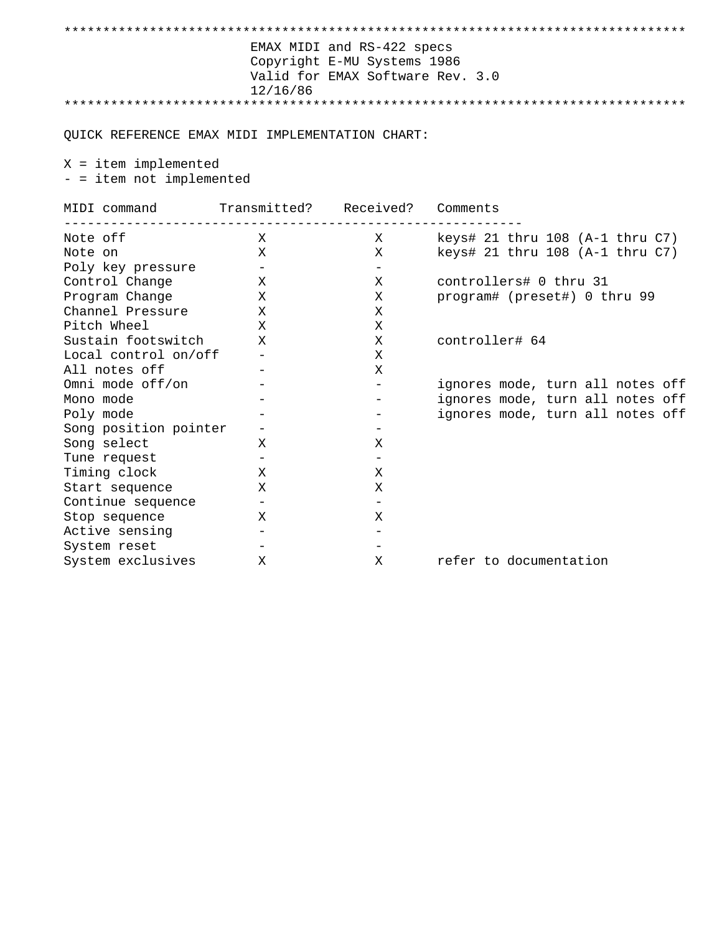| EMAX MIDI and RS-422 specs<br>Copyright E-MU Systems 1986<br>Valid for EMAX Software Rev. 3.0<br>12/16/86 |                                                           |                                    |                                                                                                          |  |  |
|-----------------------------------------------------------------------------------------------------------|-----------------------------------------------------------|------------------------------------|----------------------------------------------------------------------------------------------------------|--|--|
| QUICK REFERENCE EMAX MIDI IMPLEMENTATION CHART:                                                           |                                                           |                                    |                                                                                                          |  |  |
| $X = item$ implemented<br>- = item not implemented                                                        |                                                           |                                    |                                                                                                          |  |  |
| MIDI command Transmitted? Received? Comments                                                              |                                                           |                                    |                                                                                                          |  |  |
| Note off<br>Note on                                                                                       | X<br>X                                                    | X<br>Χ                             | keys# 21 thru $108$ (A-1 thru $C7$ )<br>keys# 21 thru 108 (A-1 thru C7)                                  |  |  |
| Poly key pressure<br>Control Change<br>Program Change                                                     | $\overline{\phantom{a}}$<br>$\mathbf{X}$<br>$\mathbf x$   | $-$<br>Χ<br>Χ                      | controllers# 0 thru 31<br>program# (preset#) 0 thru 99                                                   |  |  |
| Channel Pressure X<br>Pitch Wheel<br>Sustain footswitch                                                   | $\mathbf{X}$<br>X                                         | X<br>X<br>X                        | controller# 64                                                                                           |  |  |
| Local control on/off<br>All notes off                                                                     | $\overline{\phantom{m}}$                                  | X<br>X                             |                                                                                                          |  |  |
| Omni mode off/on<br>Mono mode<br>Poly mode                                                                |                                                           | $-$                                | ignores mode, turn all notes off<br>ignores mode, turn all notes off<br>ignores mode, turn all notes off |  |  |
| Song position pointer<br>Song select                                                                      | $\overline{\phantom{m}}$<br>Χ                             | Χ                                  |                                                                                                          |  |  |
| Tune request<br>Timing clock<br>Start sequence                                                            | $\overline{\phantom{m}}$<br>X<br>X                        | $\overline{\phantom{m}}$<br>X<br>Χ |                                                                                                          |  |  |
| Continue sequence<br>Stop sequence                                                                        | $\overline{\phantom{m}}$<br>X                             | $\overline{\phantom{0}}$<br>X      |                                                                                                          |  |  |
| Active sensing<br>System reset<br>System exclusives                                                       | $\overline{\phantom{m}}$<br>$\overline{\phantom{0}}$<br>X | X                                  | refer to documentation                                                                                   |  |  |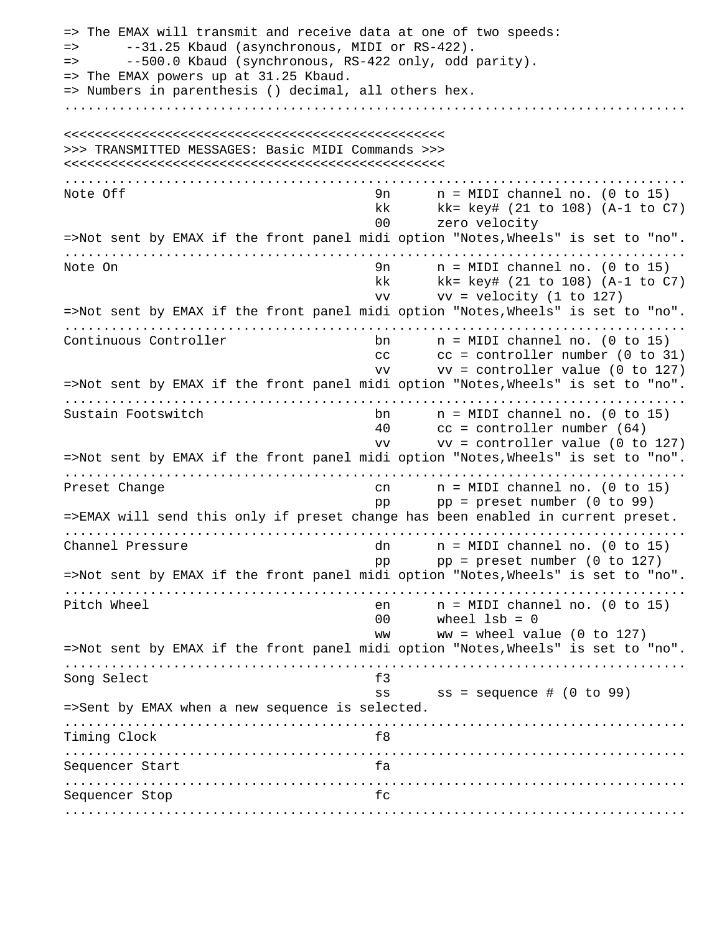=> The EMAX will transmit and receive data at one of two speeds: => --31.25 Kbaud (asynchronous, MIDI or RS-422). => --500.0 Kbaud (synchronous, RS-422 only, odd parity). => The EMAX powers up at 31.25 Kbaud. => Numbers in parenthesis () decimal, all others hex. ................................................................................ <<<<<<<<<<<<<<<<<<<<<<<<<<<<<<<<<<<<<<<<<<<<<<<<< >>> TRANSMITTED MESSAGES: Basic MIDI Commands >>> <<<<<<<<<<<<<<<<<<<<<<<<<<<<<<<<<<<<<<<<<<<<<<<<< ................................................................................ Note Off  $\begin{array}{ccc} 9n & n = MIDI \text{ channel} & n. \end{array}$  (0 to 15) kk kk= key# (21 to 108) (A-1 to C7) 00 zero velocity =>Not sent by EMAX if the front panel midi option "Notes,Wheels" is set to "no". ................................................................................ Note On 9n n = MIDI channel no. (0 to 15) kk kk= key# (21 to 108) (A-1 to C7)  $vv$   $vv$  = velocity (1 to 127) =>Not sent by EMAX if the front panel midi option "Notes,Wheels" is set to "no". ................................................................................ Continuous Controller bn n = MIDI channel no. (0 to 15) cc cc = controller number (0 to 31) vv vv = controller value (0 to 127) =>Not sent by EMAX if the front panel midi option "Notes,Wheels" is set to "no". ................................................................................ Sustain Footswitch bn n = MIDI channel no. (0 to 15) 40 cc = controller number (64) vv vv = controller value (0 to 127) =>Not sent by EMAX if the front panel midi option "Notes,Wheels" is set to "no". ................................................................................ Preset Change cn cn n = MIDI channel no. (0 to 15) pp pp = preset number (0 to 99) =>EMAX will send this only if preset change has been enabled in current preset. ................................................................................ Channel Pressure dn n = MIDI channel no. (0 to 15) pp  $pp = preset number (0 to 127)$ =>Not sent by EMAX if the front panel midi option "Notes,Wheels" is set to "no". ................................................................................ Pitch Wheel en n = MIDI channel no. (0 to 15)  $00$  wheel  $1sb = 0$ ww  $w =$  wheel value (0 to 127) =>Not sent by EMAX if the front panel midi option "Notes,Wheels" is set to "no". ................................................................................ Song Select f3 ss ss = sequence # (0 to 99) =>Sent by EMAX when a new sequence is selected. ................................................................................ Timing Clock f8 ................................................................................ Sequencer Start fa ................................................................................ Sequencer Stop fc ................................................................................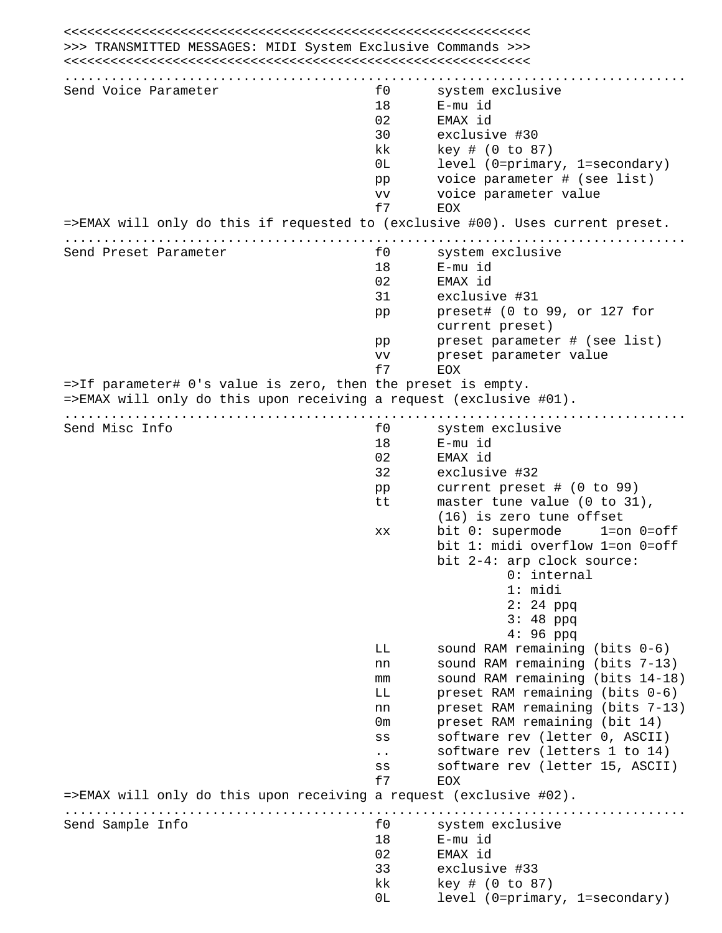| >>> TRANSMITTED MESSAGES: MIDI System Exclusive Commands >>>                   |                      |                                    |
|--------------------------------------------------------------------------------|----------------------|------------------------------------|
|                                                                                |                      |                                    |
|                                                                                |                      |                                    |
| Send Voice Parameter                                                           | £0                   | system exclusive                   |
|                                                                                | 18                   | E-mu id                            |
|                                                                                | 02                   | EMAX id                            |
|                                                                                | 30                   | exclusive #30                      |
|                                                                                | kk                   | key # (0 to 87)                    |
|                                                                                | 0L                   | level (0=primary, 1=secondary)     |
|                                                                                | pp                   | voice parameter # (see list)       |
|                                                                                | <b>VV</b>            | voice parameter value              |
|                                                                                | £7                   | EOX                                |
| =>EMAX will only do this if requested to (exclusive #00). Uses current preset. |                      |                                    |
|                                                                                |                      |                                    |
| Send Preset Parameter                                                          | f0                   | system exclusive                   |
|                                                                                | 18                   | E-mu id                            |
|                                                                                | 02                   | EMAX id                            |
|                                                                                | 31                   | exclusive #31                      |
|                                                                                | pp                   | preset# (0 to 99, or 127 for       |
|                                                                                |                      | current preset)                    |
|                                                                                | pp                   | preset parameter # (see list)      |
|                                                                                | VV                   | preset parameter value             |
|                                                                                | f7                   | <b>EOX</b>                         |
| =>If parameter# 0's value is zero, then the preset is empty.                   |                      |                                    |
| =>EMAX will only do this upon receiving a request (exclusive #01).             |                      |                                    |
| .                                                                              |                      |                                    |
| Send Misc Info                                                                 | f0                   | system exclusive                   |
|                                                                                | 18                   | E-mu id                            |
|                                                                                | 02                   | EMAX id                            |
|                                                                                | 32                   | exclusive #32                      |
|                                                                                | pp                   | current preset # (0 to 99)         |
|                                                                                | tt                   | master tune value (0 to 31),       |
|                                                                                |                      | $(16)$ is zero tune offset         |
|                                                                                |                      | bit 0: supermode<br>$1=on$ $0=off$ |
|                                                                                | XX                   |                                    |
|                                                                                |                      | bit 1: midi overflow 1=on 0=off    |
|                                                                                |                      | bit 2-4: arp clock source:         |
|                                                                                |                      | $0:$ internal                      |
|                                                                                |                      | 1: midi                            |
|                                                                                |                      | $2:24$ ppq                         |
|                                                                                |                      | $3:48$ ppq                         |
|                                                                                |                      | $4:96$ ppq                         |
|                                                                                | LL                   | sound RAM remaining (bits $0-6$ )  |
|                                                                                | nn                   | sound RAM remaining (bits 7-13)    |
|                                                                                | mm                   | sound RAM remaining (bits 14-18)   |
|                                                                                | LL                   | preset RAM remaining (bits 0-6)    |
|                                                                                | nn                   | preset RAM remaining (bits 7-13)   |
|                                                                                | 0m                   | preset RAM remaining (bit 14)      |
|                                                                                | SS                   | software rev (letter 0, ASCII)     |
|                                                                                |                      | software rev (letters 1 to 14)     |
|                                                                                | $\ddot{\phantom{0}}$ |                                    |
|                                                                                | SS                   | software rev (letter 15, ASCII)    |
| =>EMAX will only do this upon receiving a request (exclusive #02).             | f7                   | EOX                                |
|                                                                                |                      |                                    |
|                                                                                | £0                   |                                    |
| Send Sample Info                                                               |                      | system exclusive                   |
|                                                                                | 18                   | E-mu id                            |
|                                                                                | 02                   | EMAX id                            |
|                                                                                | 33                   | exclusive #33                      |
|                                                                                | kk                   | key # (0 to 87)                    |
|                                                                                | 0L                   | level (0=primary, 1=secondary)     |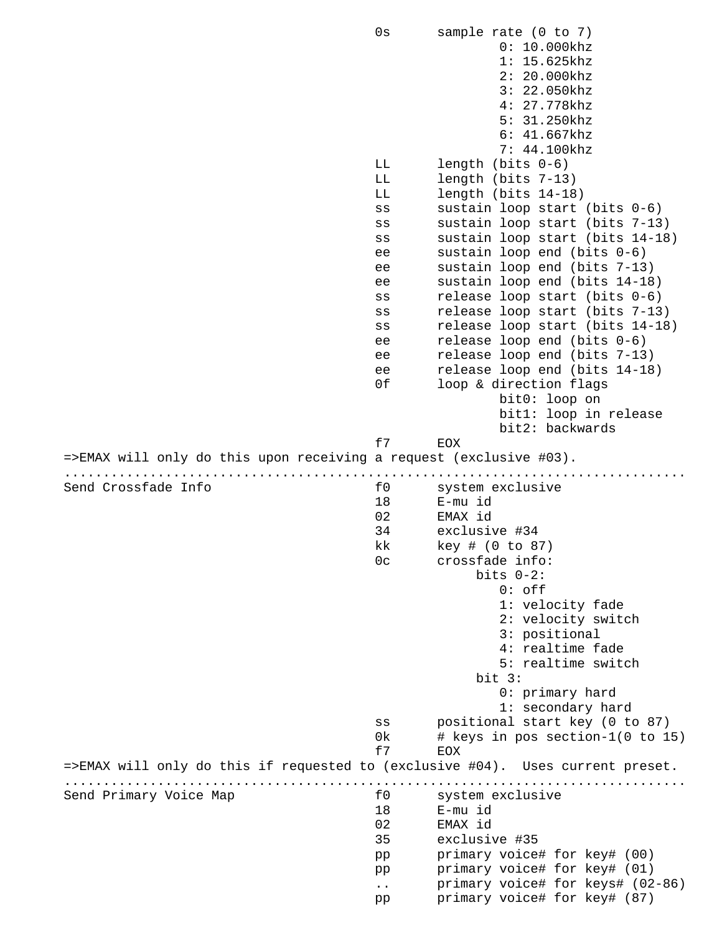0s sample rate (0 to 7) 0: 10.000khz 1: 15.625khz 2: 20.000khz 3: 22.050khz 4: 27.778khz 5: 31.250khz 6: 41.667khz 7: 44.100khz LL length (bits 0-6) LL length (bits 7-13) LL length (bits 14-18) ss sustain loop start (bits 0-6) ss sustain loop start (bits 7-13) ss sustain loop start (bits 14-18) ee sustain loop end (bits 0-6) ee sustain loop end (bits 7-13) ee sustain loop end (bits 14-18) ss release loop start (bits 0-6) ss release loop start (bits 7-13) ss release loop start (bits 14-18) ee release loop end (bits 0-6) ee release loop end (bits 7-13) ee release loop end (bits 14-18) 0f loop & direction flags bit0: loop on bit1: loop in release bit2: backwards f7 EOX =>EMAX will only do this upon receiving a request (exclusive #03). ................................................................................ Send Crossfade Info f0 system exclusive 18 E-mu id 02 EMAX id 34 exclusive #34 kk key # (0 to 87) 0c crossfade info: bits 0-2: 0: off 1: velocity fade 2: velocity switch 3: positional 4: realtime fade 5: realtime switch<br>bit 3: bit 3: 0: primary hard 1: secondary hard ss positional start key (0 to 87) 0k # keys in pos section-1(0 to 15) f7 EOX =>EMAX will only do this if requested to (exclusive #04). Uses current preset. ................................................................................ Send Primary Voice Map 60 for the system exclusive 18 E-mu id 02 EMAX id 35 exclusive #35 pp primary voice# for key# (00) pp primary voice# for key# (01) .. primary voice# for keys# (02-86) pp primary voice# for key# (87)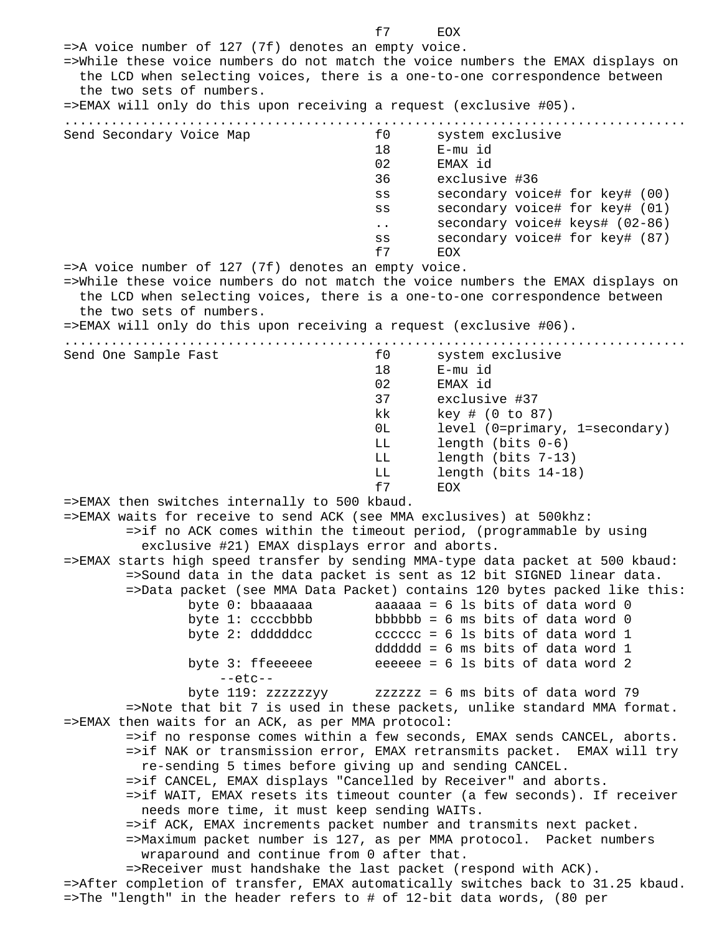f7 EOX =>A voice number of 127 (7f) denotes an empty voice. =>While these voice numbers do not match the voice numbers the EMAX displays on the LCD when selecting voices, there is a one-to-one correspondence between the two sets of numbers. =>EMAX will only do this upon receiving a request (exclusive #05). ................................................................................ Send Secondary Voice Map 60 follows for system exclusive 18 E-mu id 02 EMAX id 36 exclusive #36 ss secondary voice# for key# (00) ss secondary voice# for key# (01) .. secondary voice# keys# (02-86) ss secondary voice# for key# (87) f7 EOX =>A voice number of 127 (7f) denotes an empty voice. =>While these voice numbers do not match the voice numbers the EMAX displays on the LCD when selecting voices, there is a one-to-one correspondence between the two sets of numbers. =>EMAX will only do this upon receiving a request (exclusive #06). ................................................................................ Send One Sample Fast **the Send One Sample Fast** for the system exclusive 18 E-mu id 02 EMAX id 37 exclusive #37 kk key # (0 to 87) 0L level (0=primary, 1=secondary) LL length (bits 0-6) LL length (bits 7-13) LL length (bits 14-18) f7 EOX =>EMAX then switches internally to 500 kbaud. =>EMAX waits for receive to send ACK (see MMA exclusives) at 500khz: =>if no ACK comes within the timeout period, (programmable by using exclusive #21) EMAX displays error and aborts. =>EMAX starts high speed transfer by sending MMA-type data packet at 500 kbaud: =>Sound data in the data packet is sent as 12 bit SIGNED linear data. =>Data packet (see MMA Data Packet) contains 120 bytes packed like this: byte  $0:$  bbaaaaaa  $a = 6$  ls bits of data word  $0$ byte 1:  $ccc$ bbbbb = 6 ms bits of data word 0 byte 2: ddddddcc  $\qquad \qquad$  cccccc = 6 ls bits of data word 1 dddddd = 6 ms bits of data word 1 byte 3: ffeeeeee  $\qquad$  eeeeee = 6 ls bits of data word 2  $--etc-$  byte 119: zzzzzzyy zzzzzz = 6 ms bits of data word 79 =>Note that bit 7 is used in these packets, unlike standard MMA format. =>EMAX then waits for an ACK, as per MMA protocol: =>if no response comes within a few seconds, EMAX sends CANCEL, aborts. =>if NAK or transmission error, EMAX retransmits packet. EMAX will try re-sending 5 times before giving up and sending CANCEL. =>if CANCEL, EMAX displays "Cancelled by Receiver" and aborts. =>if WAIT, EMAX resets its timeout counter (a few seconds). If receiver needs more time, it must keep sending WAITs. =>if ACK, EMAX increments packet number and transmits next packet. =>Maximum packet number is 127, as per MMA protocol. Packet numbers wraparound and continue from 0 after that. =>Receiver must handshake the last packet (respond with ACK). =>After completion of transfer, EMAX automatically switches back to 31.25 kbaud. =>The "length" in the header refers to # of 12-bit data words, (80 per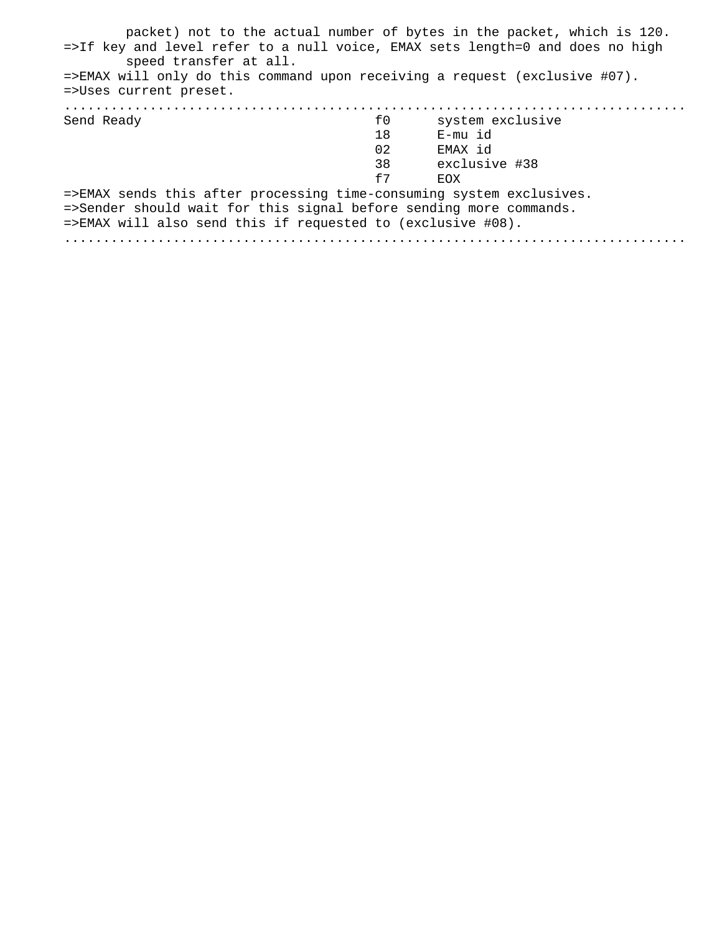| packet) not to the actual number of bytes in the packet, which is 120.<br>=>If key and level refer to a null voice, EMAX sets length=0 and does no high |    |                  |
|---------------------------------------------------------------------------------------------------------------------------------------------------------|----|------------------|
| speed transfer at all.<br>$\Rightarrow$ EMAX will only do this command upon receiving a request (exclusive #07).                                        |    |                  |
| =>Uses current preset.                                                                                                                                  |    |                  |
|                                                                                                                                                         |    |                  |
| Send Ready                                                                                                                                              | f0 | system exclusive |
|                                                                                                                                                         | 18 | E-mu id          |
|                                                                                                                                                         | 02 | EMAX id          |
|                                                                                                                                                         | 38 | exclusive #38    |
|                                                                                                                                                         | f7 | <b>FOX</b>       |
| =>EMAX sends this after processing time-consuming system exclusives.                                                                                    |    |                  |
| =>Sender should wait for this signal before sending more commands.                                                                                      |    |                  |
| $\Rightarrow$ EMAX will also send this if requested to (exclusive #08).                                                                                 |    |                  |
|                                                                                                                                                         |    |                  |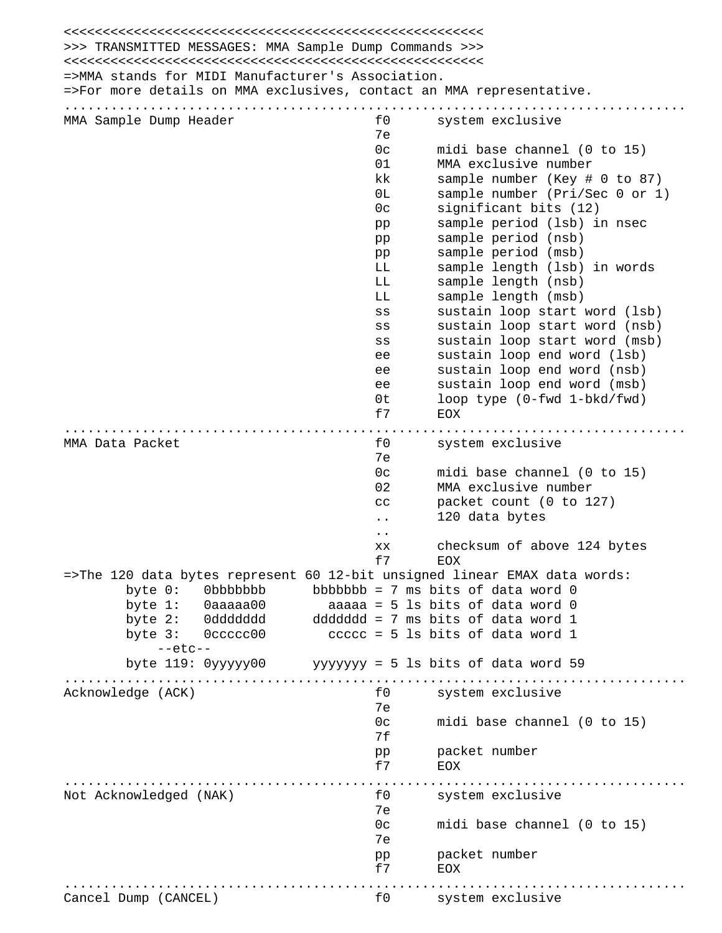<<<<<<<<<<<<<<<<<<<<<<<<<<<<<<<<<<<<<<<<<<<<<<<<<<<<<< >>> TRANSMITTED MESSAGES: MMA Sample Dump Commands >>> <<<<<<<<<<<<<<<<<<<<<<<<<<<<<<<<<<<<<<<<<<<<<<<<<<<<<< =>MMA stands for MIDI Manufacturer's Association. =>For more details on MMA exclusives, contact an MMA representative. ................................................................................ MMA Sample Dump Header 1988 and the system exclusive 7e 0c midi base channel (0 to 15) 01 MMA exclusive number kk sample number (Key # 0 to 87) 0L sample number (Pri/Sec 0 or 1) 0c significant bits (12) pp sample period (lsb) in nsec pp sample period (nsb) pp sample period (msb) LL sample length (lsb) in words LL sample length (nsb) LL sample length (msb) ss sustain loop start word (lsb) ss sustain loop start word (nsb) ss sustain loop start word (msb) ee sustain loop end word (lsb) ee sustain loop end word (nsb) ee sustain loop end word (msb) 0t loop type (0-fwd 1-bkd/fwd) f7 EOX ................................................................................ MMA Data Packet and the system exclusive for the system exclusive 7e 0c midi base channel (0 to 15) 02 MMA exclusive number cc packet count (0 to 127) .. 120 data bytes .. xx checksum of above 124 bytes f7 EOX =>The 120 data bytes represent 60 12-bit unsigned linear EMAX data words: byte  $0:$  0bbbbbbb bbbbbbb = 7 ms bits of data word 0 byte 1: 0aaaaa00 aaaaa = 5 ls bits of data word 0 byte 2: 0ddddddd ddddddd = 7 ms bits of data word 1 byte  $3:$   $0$  ccccc $00$  ccccc = 5 ls bits of data word 1 --etc- byte 119: 0yyyyy00 yyyyyyy = 5 ls bits of data word 59 ................................................................................ Acknowledge (ACK) and the system exclusive formulation of the system exclusive 7e 0c midi base channel (0 to 15) 7f pp packet number f7 EOX ................................................................................ Not Acknowledged (NAK) and the system exclusive 7e 0c midi base channel (0 to 15) 7e pp packet number f7 EOX ................................................................................ Cancel Dump (CANCEL) f0 system exclusive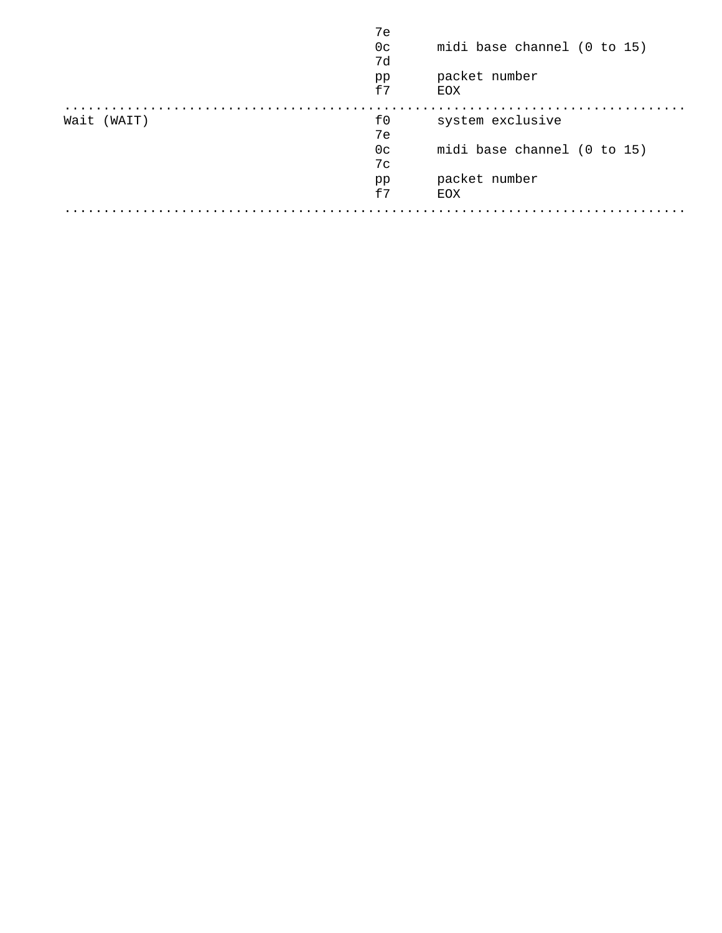|             | 7e<br>0 <sup>c</sup><br>7d<br>pp<br>f7 | midi base channel (0 to 15)<br>packet number<br>EOX |
|-------------|----------------------------------------|-----------------------------------------------------|
| Wait (WAIT) | f0<br>7e                               | system exclusive                                    |
|             | 0 <sup>c</sup><br>7c                   | midi base channel (0 to 15)                         |
|             | pp<br>f7                               | packet number<br>EOX                                |
|             |                                        |                                                     |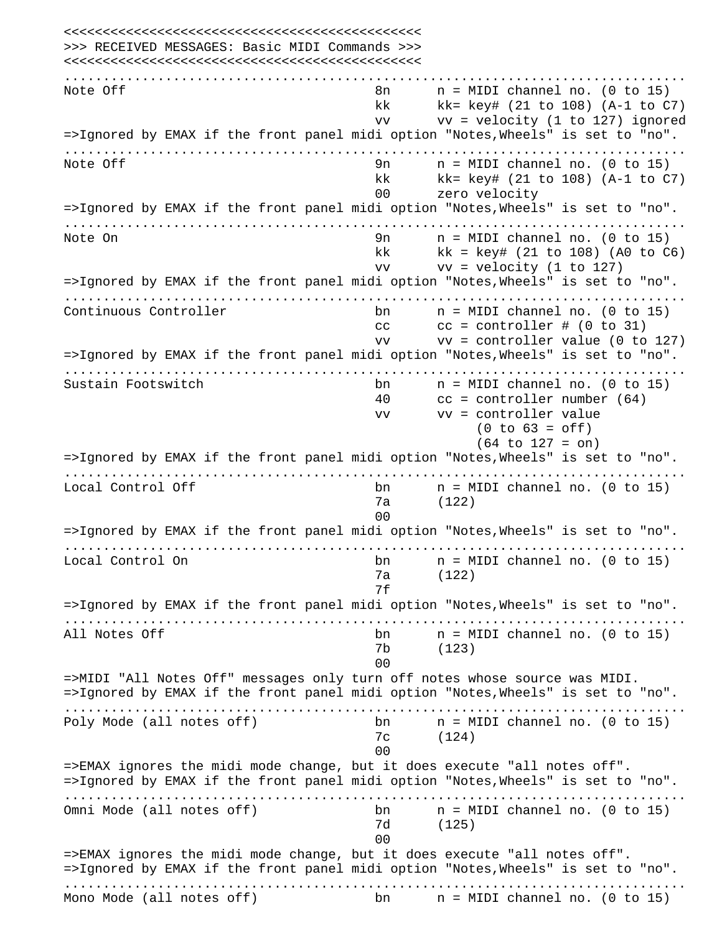<<<<<<<<<<<<<<<<<<<<<<<<<<<<<<<<<<<<<<<<<<<<<< >>> RECEIVED MESSAGES: Basic MIDI Commands >>> <<<<<<<<<<<<<<<<<<<<<<<<<<<<<<<<<<<<<<<<<<<<<< ................................................................................ Note Off  $\begin{array}{ccc} \text{Note} & \text{Of} & \text{In} \\ \text{Note} & \text{Of} & \text{In} \end{array}$  and  $\begin{array}{ccc} \text{In} & \text{In} & \text{In} \end{array}$  and  $\begin{array}{ccc} \text{In} & \text{In} & \text{In} \end{array}$  kk kk= key# (21 to 108) (A-1 to C7) vv vv = velocity (1 to 127) ignored =>Ignored by EMAX if the front panel midi option "Notes,Wheels" is set to "no". ................................................................................ Note Off 9n n = MIDI channel no. (0 to 15) kk kk= key# (21 to 108) (A-1 to C7) 00 zero velocity =>Ignored by EMAX if the front panel midi option "Notes,Wheels" is set to "no". ................................................................................ Note On  $\begin{array}{ccc} 9n & n = MIDI \text{ channel} & n. \end{array}$  (0 to 15)  $kk$  kk = key# (21 to 108) (A0 to  $C6$ ) vv vv = velocity (1 to 127) =>Ignored by EMAX if the front panel midi option "Notes,Wheels" is set to "no". ................................................................................ Continuous Controller bn n = MIDI channel no. (0 to 15) cc  $cc = \text{controller } # (0 to 31)$  vv vv = controller value (0 to 127) =>Ignored by EMAX if the front panel midi option "Notes,Wheels" is set to "no". ................................................................................ Sustain Footswitch bn n = MIDI channel no. (0 to 15) 40 cc = controller number (64) vv vv = controller value  $(0 to 63 = off)$  (64 to 127 = on) =>Ignored by EMAX if the front panel midi option "Notes,Wheels" is set to "no". ................................................................................ Local Control Off  $\begin{array}{ccc} \text{b} & \text{n} & \text{n} \end{array}$  = MIDI channel no. (0 to 15) 7a (122) and the contract of the contract of the contract of the contract of the contract of the contract of the contract of the contract of the contract of the contract of the contract of the contract of the contract of the contra =>Ignored by EMAX if the front panel midi option "Notes,Wheels" is set to "no". ................................................................................ Local Control On bn n = MIDI channel no. (0 to 15) 7a (122) 7f =>Ignored by EMAX if the front panel midi option "Notes,Wheels" is set to "no". ................................................................................ All Notes Off  $\qquad \qquad$  bn  $\qquad$  n = MIDI channel no. (0 to 15) 7b (123) and the contract of the contract of the contract of the contract of the contract of the contract of the contract of the contract of the contract of the contract of the contract of the contract of the contract of the contra =>MIDI "All Notes Off" messages only turn off notes whose source was MIDI. =>Ignored by EMAX if the front panel midi option "Notes,Wheels" is set to "no". ................................................................................ Poly Mode (all notes off) bn n = MIDI channel no. (0 to 15) 7c (124) and the contract of the contract of the contract of the contract of the contract of the contract of the contract of the contract of the contract of the contract of the contract of the contract of the contract of the contra =>EMAX ignores the midi mode change, but it does execute "all notes off". =>Ignored by EMAX if the front panel midi option "Notes,Wheels" is set to "no". ................................................................................ Omni Mode (all notes off) bn n = MIDI channel no. (0 to 15) 7d (125) and the contract of the contract of the contract of the contract of the contract of the contract of the contract of the contract of the contract of the contract of the contract of the contract of the contract of the contra =>EMAX ignores the midi mode change, but it does execute "all notes off". =>Ignored by EMAX if the front panel midi option "Notes,Wheels" is set to "no". ................................................................................ Mono Mode (all notes off) bn n = MIDI channel no. (0 to 15)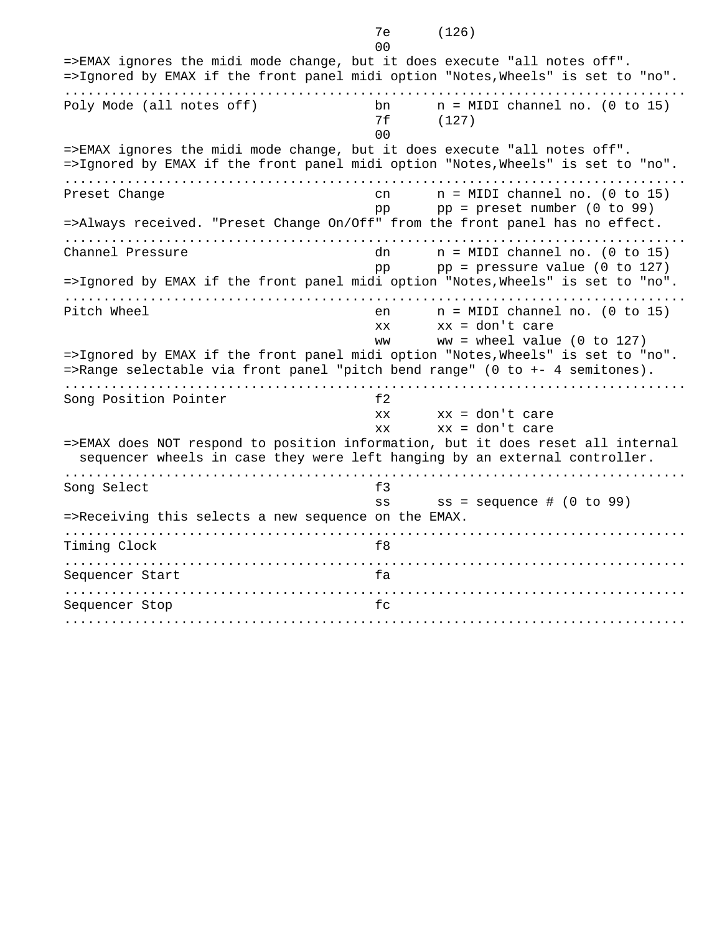and the contract of the contract of the contract of the contract of the contract of the contract of the contract of the contract of the contract of the contract of the contract of the contract of the contract of the contra =>EMAX ignores the midi mode change, but it does execute "all notes off". =>Ignored by EMAX if the front panel midi option "Notes,Wheels" is set to "no". ................................................................................ Poly Mode (all notes off) bn n = MIDI channel no. (0 to 15) 7f (127) and the contract of the contract of the contract of the contract of the contract of the contract of the contract of the contract of the contract of the contract of the contract of the contract of the contract of the contra =>EMAX ignores the midi mode change, but it does execute "all notes off". =>Ignored by EMAX if the front panel midi option "Notes,Wheels" is set to "no". ................................................................................ Preset Change cn cn = MIDI channel no. (0 to 15) pp pp = preset number (0 to 99) =>Always received. "Preset Change On/Off" from the front panel has no effect. ................................................................................ Channel Pressure dn n = MIDI channel no. (0 to 15) pp  $pp = pressure value (0 to 127)$ =>Ignored by EMAX if the front panel midi option "Notes,Wheels" is set to "no". ................................................................................ Pitch Wheel **en** n = MIDI channel no. (0 to 15) xx xx = don't care ww  $=$  wheel value (0 to 127) =>Ignored by EMAX if the front panel midi option "Notes,Wheels" is set to "no". =>Range selectable via front panel "pitch bend range" (0 to +- 4 semitones). ................................................................................ Song Position Pointer f2  $xx = don't care$  xx xx = don't care =>EMAX does NOT respond to position information, but it does reset all internal sequencer wheels in case they were left hanging by an external controller. ................................................................................ Song Select f3 ss ss = sequence # (0 to 99) =>Receiving this selects a new sequence on the EMAX. ................................................................................ Timing Clock f8 ................................................................................ Sequencer Start fa ................................................................................ Sequencer Stop fc ................................................................................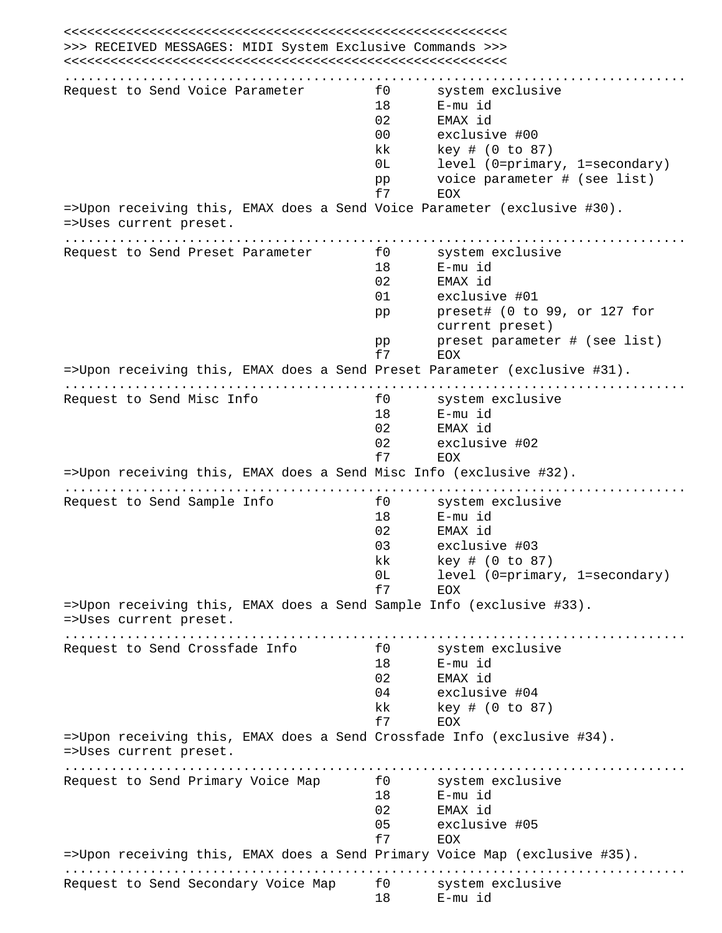<<<<<<<<<<<<<<<<<<<<<<<<<<<<<<<<<<<<<<<<<<<<<<<<<<<<<<<<< >>> RECEIVED MESSAGES: MIDI System Exclusive Commands >>> <<<<<<<<<<<<<<<<<<<<<<<<<<<<<<<<<<<<<<<<<<<<<<<<<<<<<<<<< ................................................................................ Request to Send Voice Parameter f0 system exclusive 18 E-mu id 02 EMAX id 00 exclusive #00 kk key # (0 to 87) 0L level (0=primary, 1=secondary) pp voice parameter # (see list) f7 EOX =>Upon receiving this, EMAX does a Send Voice Parameter (exclusive #30). =>Uses current preset. ................................................................................ Request to Send Preset Parameter f0 system exclusive 18 E-mu id 02 EMAX id 01 exclusive #01 pp preset# (0 to 99, or 127 for current preset) pp preset parameter # (see list) f7 EOX =>Upon receiving this, EMAX does a Send Preset Parameter (exclusive #31). ................................................................................ Request to Send Misc Info Fig. 3 and Separation of the system exclusive 18 E-mu id 02 EMAX id 02 exclusive #02 f7 EOX =>Upon receiving this, EMAX does a Send Misc Info (exclusive #32). ................................................................................ Request to Send Sample Info f0 system exclusive 18 E-mu id 02 EMAX id 03 exclusive #03 kk key # (0 to 87) 0L level (0=primary, 1=secondary) f7 EOX =>Upon receiving this, EMAX does a Send Sample Info (exclusive #33). =>Uses current preset. ................................................................................ Request to Send Crossfade Info flow for system exclusive 18 E-mu id 02 EMAX id 04 exclusive #04 kk key # (0 to 87) f7 EOX =>Upon receiving this, EMAX does a Send Crossfade Info (exclusive #34). =>Uses current preset. ................................................................................ Request to Send Primary Voice Map for the system exclusive 18 E-mu id 02 EMAX id 05 exclusive #05 f7 EOX =>Upon receiving this, EMAX does a Send Primary Voice Map (exclusive #35). ................................................................................ Request to Send Secondary Voice Map f0 system exclusive 18 E-mu id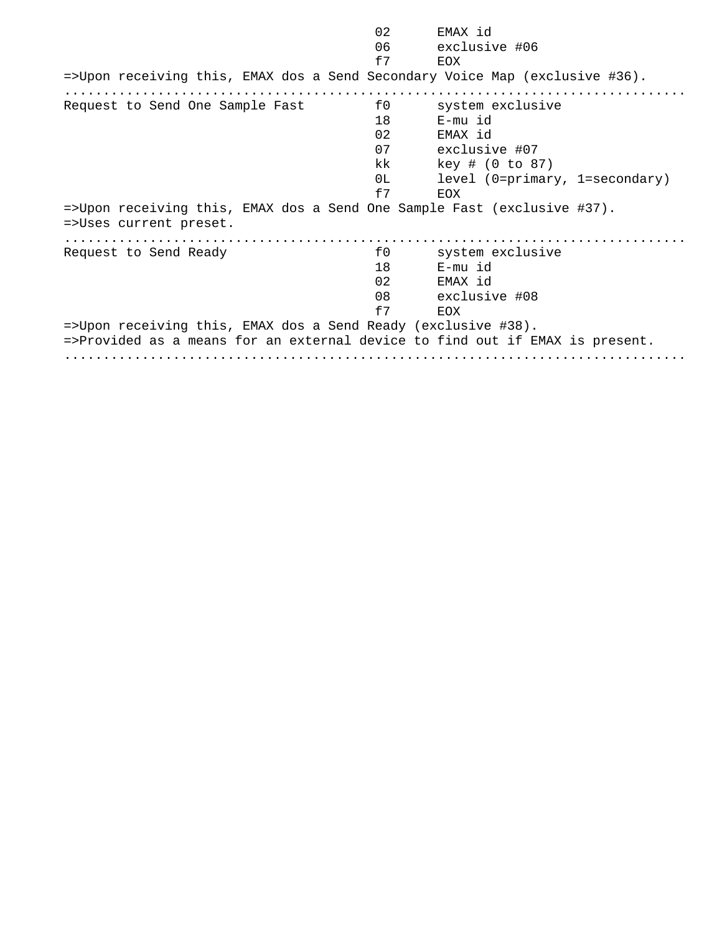| 02                                                                                                                                            | EMAX id                        |
|-----------------------------------------------------------------------------------------------------------------------------------------------|--------------------------------|
| 06                                                                                                                                            | exclusive #06                  |
| f7                                                                                                                                            | EOX                            |
| =>Upon receiving this, EMAX dos a Send Secondary Voice Map (exclusive #36).                                                                   |                                |
| f0<br>Request to Send One Sample Fast                                                                                                         | system exclusive               |
| 18                                                                                                                                            | E-mu id                        |
| 02 <sub>o</sub>                                                                                                                               | EMAX id                        |
| 07                                                                                                                                            | exclusive #07                  |
| kk                                                                                                                                            | key # (0 to 87)                |
| 0L I                                                                                                                                          | level (0=primary, 1=secondary) |
| f7                                                                                                                                            | EOX                            |
| =>Upon receiving this, EMAX dos a Send One Sample Fast (exclusive #37).<br>=>Uses current preset.                                             |                                |
| f0<br>Request to Send Ready                                                                                                                   | system exclusive               |
| 18                                                                                                                                            | E-mu id                        |
| 02                                                                                                                                            | EMAX id                        |
| 08                                                                                                                                            | exclusive #08                  |
| f7                                                                                                                                            | EOX                            |
| =>Upon receiving this, EMAX dos a Send Ready (exclusive #38).<br>=>Provided as a means for an external device to find out if EMAX is present. |                                |
|                                                                                                                                               |                                |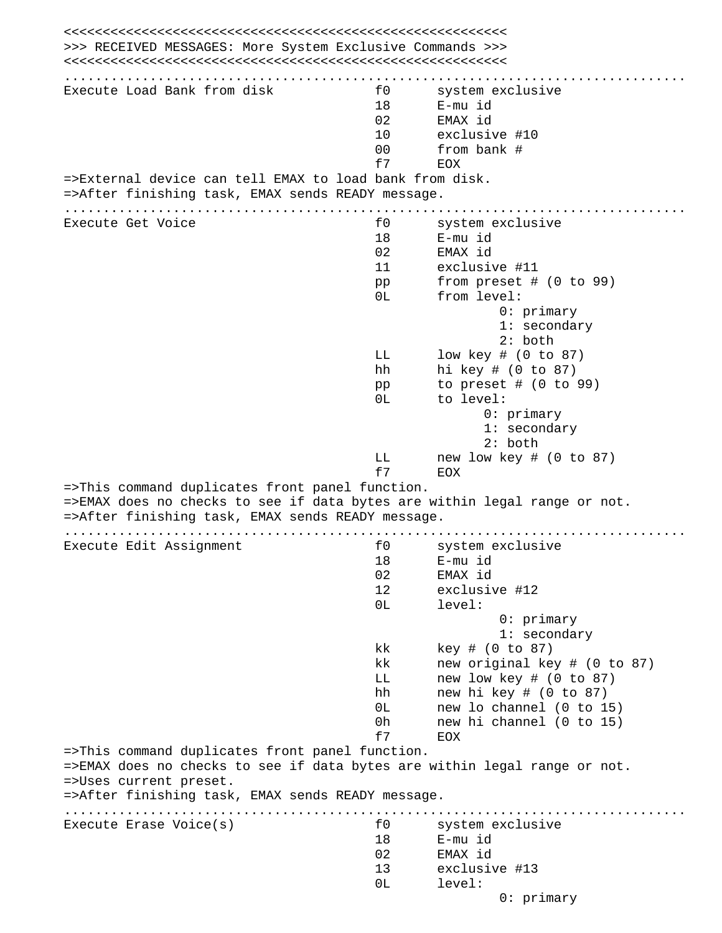<<<<<<<<<<<<<<<<<<<<<<<<<<<<<<<<<<<<<<<<<<<<<<<<<<<<<<<<< >>> RECEIVED MESSAGES: More System Exclusive Commands >>> <<<<<<<<<<<<<<<<<<<<<<<<<<<<<<<<<<<<<<<<<<<<<<<<<<<<<<<<< ................................................................................ Execute Load Bank from disk for the system exclusive 18 E-mu id 02 EMAX id 10 exclusive #10 00 from bank # f7 EOX =>External device can tell EMAX to load bank from disk. =>After finishing task, EMAX sends READY message. ................................................................................ Execute Get Voice **Following CO** system exclusive 18 E-mu id 02 EMAX id 11 exclusive #11 pp from preset # (0 to 99) 0L from level: 0: primary 1: secondary 2: both LL low key # (0 to 87) hh hi key # (0 to 87) pp to preset # (0 to 99) 0L to level: 0: primary 1: secondary 2: both LL new low key # (0 to 87) f7 EOX =>This command duplicates front panel function. =>EMAX does no checks to see if data bytes are within legal range or not. =>After finishing task, EMAX sends READY message. ................................................................................ Execute Edit Assignment flow system exclusive 18 E-mu id 02 EMAX id 12 exclusive #12 0L level: 0: primary 1: secondary kk key # (0 to 87) kk new original key # (0 to 87) LL new low key # (0 to 87) hh new hi key # (0 to 87) 0L new lo channel (0 to 15) 0h new hi channel (0 to 15) f7 EOX =>This command duplicates front panel function. =>EMAX does no checks to see if data bytes are within legal range or not. =>Uses current preset. =>After finishing task, EMAX sends READY message. ................................................................................ Execute Erase Voice(s) The System exclusive for the system exclusive 18 E-mu id 02 EMAX id 13 exclusive #13 0L level: 0: primary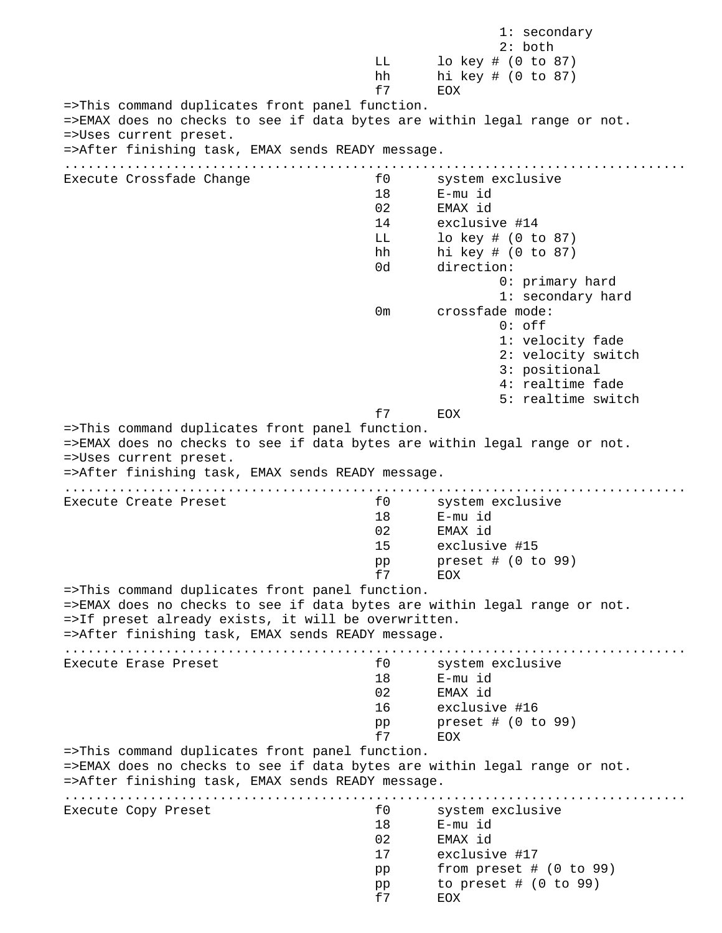1: secondary 2: both LL lo key # (0 to 87) hh hi key # (0 to 87) f7 EOX =>This command duplicates front panel function. =>EMAX does no checks to see if data bytes are within legal range or not. =>Uses current preset. =>After finishing task, EMAX sends READY message. ................................................................................ Execute Crossfade Change The System exclusive 18 E-mu id 02 EMAX id 14 exclusive #14 LL lo key # (0 to 87) hh hi key # (0 to 87) 0d direction: 0: primary hard 1: secondary hard 0m crossfade mode: 0: off 1: velocity fade 2: velocity switch 3: positional 4: realtime fade 5: realtime switch f7 EOX =>This command duplicates front panel function. =>EMAX does no checks to see if data bytes are within legal range or not. =>Uses current preset. =>After finishing task, EMAX sends READY message. ................................................................................ Execute Create Preset **and System Execute Create Preset for a system exclusive**  18 E-mu id 02 EMAX id 15 exclusive #15 pp preset # (0 to 99) f7 EOX =>This command duplicates front panel function. =>EMAX does no checks to see if data bytes are within legal range or not. =>If preset already exists, it will be overwritten. =>After finishing task, EMAX sends READY message. ................................................................................ Execute Erase Preset **and Series and System exclusive** for the system exclusive 18 E-mu id 02 EMAX id 16 exclusive #16 pp preset # (0 to 99) f7 EOX =>This command duplicates front panel function. =>EMAX does no checks to see if data bytes are within legal range or not. =>After finishing task, EMAX sends READY message. ................................................................................ Execute Copy Preset f0 system exclusive 18 E-mu id 02 EMAX id 17 exclusive #17 pp from preset # (0 to 99) pp to preset # (0 to 99) f7 EOX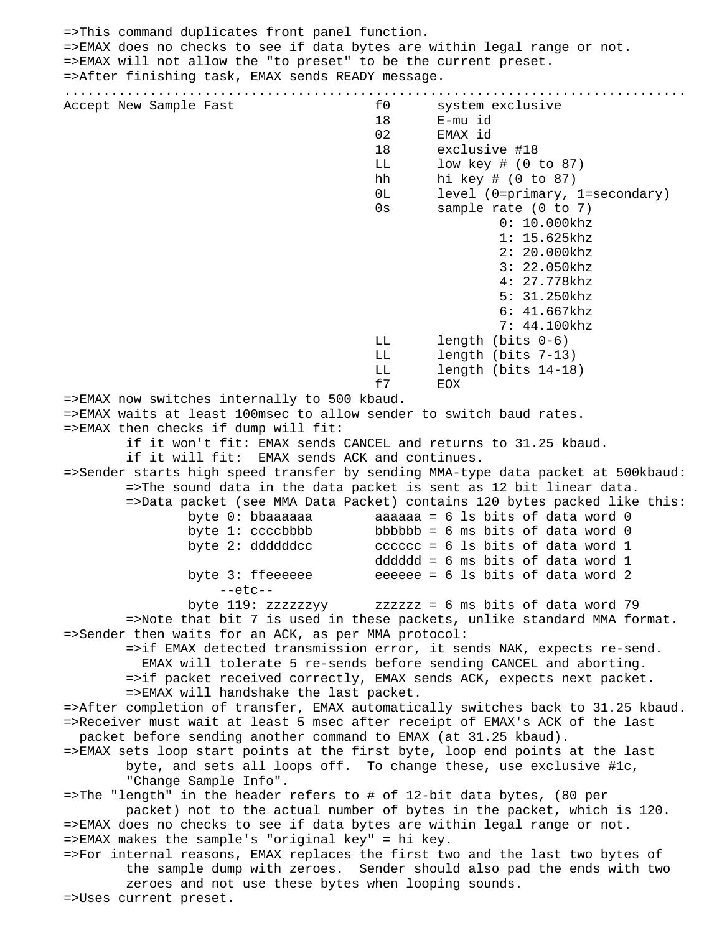=>This command duplicates front panel function. =>EMAX does no checks to see if data bytes are within legal range or not. =>EMAX will not allow the "to preset" to be the current preset. =>After finishing task, EMAX sends READY message. ................................................................................ Accept New Sample Fast The Section of the System exclusive 18 E-mu id 02 EMAX id 18 exclusive #18 LL low key # (0 to 87) hh hi key # (0 to 87) 0L level (0=primary, 1=secondary) 0s sample rate (0 to 7) 0: 10.000khz 1: 15.625khz 2: 20.000khz 3: 22.050khz 4: 27.778khz 5: 31.250khz 6: 41.667khz 7: 44.100khz LL length (bits 0-6) LL length (bits 7-13) LL length (bits 14-18) f7 EOX =>EMAX now switches internally to 500 kbaud. =>EMAX waits at least 100msec to allow sender to switch baud rates. =>EMAX then checks if dump will fit: if it won't fit: EMAX sends CANCEL and returns to 31.25 kbaud. if it will fit: EMAX sends ACK and continues. =>Sender starts high speed transfer by sending MMA-type data packet at 500kbaud: =>The sound data in the data packet is sent as 12 bit linear data. =>Data packet (see MMA Data Packet) contains 120 bytes packed like this: byte 0: bbaaaaaa  $\qquad$  aaaaaa = 6 ls bits of data word 0 byte 1:  $ccc$ bbbbb = 6 ms bits of data word 0 byte 2: ddddddcc  $\qquad \qquad$  cccccc = 6 ls bits of data word 1 dddddd = 6 ms bits of data word 1 byte 3: ffeeeeee  $\qquad$  eeeeee = 6 ls bits of data word 2 --etc- byte 119: zzzzzzyy zzzzzz = 6 ms bits of data word 79 =>Note that bit 7 is used in these packets, unlike standard MMA format. =>Sender then waits for an ACK, as per MMA protocol: =>if EMAX detected transmission error, it sends NAK, expects re-send. EMAX will tolerate 5 re-sends before sending CANCEL and aborting. =>if packet received correctly, EMAX sends ACK, expects next packet. =>EMAX will handshake the last packet. =>After completion of transfer, EMAX automatically switches back to 31.25 kbaud. =>Receiver must wait at least 5 msec after receipt of EMAX's ACK of the last packet before sending another command to EMAX (at 31.25 kbaud). =>EMAX sets loop start points at the first byte, loop end points at the last byte, and sets all loops off. To change these, use exclusive #1c, "Change Sample Info". =>The "length" in the header refers to # of 12-bit data bytes, (80 per packet) not to the actual number of bytes in the packet, which is 120. =>EMAX does no checks to see if data bytes are within legal range or not. =>EMAX makes the sample's "original key" = hi key. =>For internal reasons, EMAX replaces the first two and the last two bytes of the sample dump with zeroes. Sender should also pad the ends with two zeroes and not use these bytes when looping sounds. =>Uses current preset.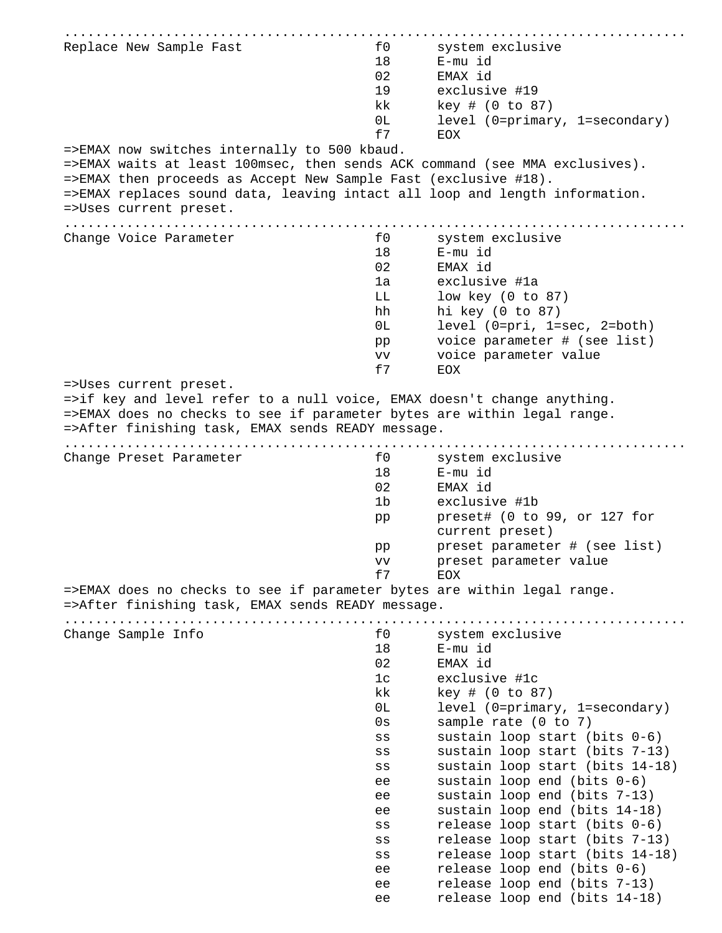| Replace New Sample Fast                                                                                                                            | f0          | system exclusive                                       |
|----------------------------------------------------------------------------------------------------------------------------------------------------|-------------|--------------------------------------------------------|
|                                                                                                                                                    | 18          | E-mu id                                                |
|                                                                                                                                                    | 02          | EMAX id                                                |
|                                                                                                                                                    | 19          | exclusive #19                                          |
|                                                                                                                                                    | kk          | $key$ # (0 to 87)                                      |
|                                                                                                                                                    | 0L          | level (0=primary, 1=secondary)                         |
|                                                                                                                                                    | f7          | EOX                                                    |
| =>EMAX now switches internally to 500 kbaud.<br>=>EMAX waits at least 100msec, then sends ACK command (see MMA exclusives).                        |             |                                                        |
| =>EMAX then proceeds as Accept New Sample Fast (exclusive #18).                                                                                    |             |                                                        |
| =>EMAX replaces sound data, leaving intact all loop and length information.                                                                        |             |                                                        |
| =>Uses current preset.                                                                                                                             |             |                                                        |
|                                                                                                                                                    |             |                                                        |
| Change Voice Parameter                                                                                                                             | f0          | system exclusive                                       |
|                                                                                                                                                    | 18          | E-mu id                                                |
|                                                                                                                                                    | 02          | EMAX id                                                |
|                                                                                                                                                    | 1a          | exclusive #1a                                          |
|                                                                                                                                                    | LL.         | low key $(0 to 87)$                                    |
|                                                                                                                                                    | hh          | hi key $(0 to 87)$                                     |
|                                                                                                                                                    | 0L          | level (0=pri, 1=sec, 2=both)                           |
|                                                                                                                                                    | pp<br>VV    | voice parameter # (see list)<br>voice parameter value  |
|                                                                                                                                                    | £7          | <b>EOX</b>                                             |
| =>Uses current preset.                                                                                                                             |             |                                                        |
| =>if key and level refer to a null voice, EMAX doesn't change anything.<br>=>EMAX does no checks to see if parameter bytes are within legal range. |             |                                                        |
| =>After finishing task, EMAX sends READY message.                                                                                                  |             |                                                        |
|                                                                                                                                                    |             |                                                        |
| Change Preset Parameter                                                                                                                            | f0          | system exclusive                                       |
|                                                                                                                                                    | 18          | E-mu id                                                |
|                                                                                                                                                    | 02          | EMAX id                                                |
|                                                                                                                                                    | 1b          | exclusive #1b                                          |
|                                                                                                                                                    | pp          | preset# (0 to 99, or 127 for                           |
|                                                                                                                                                    |             | current preset)<br>preset parameter # (see list)       |
|                                                                                                                                                    | pp          | preset parameter value                                 |
|                                                                                                                                                    | vv<br>f7    | <b>EOX</b>                                             |
| =>EMAX does no checks to see if parameter bytes are within legal range.                                                                            |             |                                                        |
| =>After finishing task, EMAX sends READY message.                                                                                                  |             |                                                        |
|                                                                                                                                                    |             |                                                        |
| Change Sample Info                                                                                                                                 | f0          | system exclusive                                       |
|                                                                                                                                                    | 18          | E-mu id                                                |
|                                                                                                                                                    | 02          | EMAX id                                                |
|                                                                                                                                                    | 1c          | exclusive #1c                                          |
|                                                                                                                                                    | kk<br>0L    | key # (0 to 87)                                        |
|                                                                                                                                                    | 0s          | level (0=primary, 1=secondary)<br>sample rate (0 to 7) |
|                                                                                                                                                    | SS          | sustain loop start (bits 0-6)                          |
|                                                                                                                                                    | $_{\rm SS}$ | sustain loop start (bits 7-13)                         |
|                                                                                                                                                    | SS          | sustain loop start (bits 14-18)                        |
|                                                                                                                                                    | ee          | sustain loop end (bits 0-6)                            |
|                                                                                                                                                    | ee          | sustain loop end (bits 7-13)                           |
|                                                                                                                                                    | ee          | sustain loop end (bits 14-18)                          |
|                                                                                                                                                    | SS          | release loop start (bits 0-6)                          |
|                                                                                                                                                    | SS          | release loop start (bits 7-13)                         |
|                                                                                                                                                    | SS          | release loop start (bits 14-18)                        |
|                                                                                                                                                    | ee          | release loop end (bits 0-6)                            |
|                                                                                                                                                    | ee          | release loop end (bits 7-13)                           |
|                                                                                                                                                    | ee          | release loop end (bits 14-18)                          |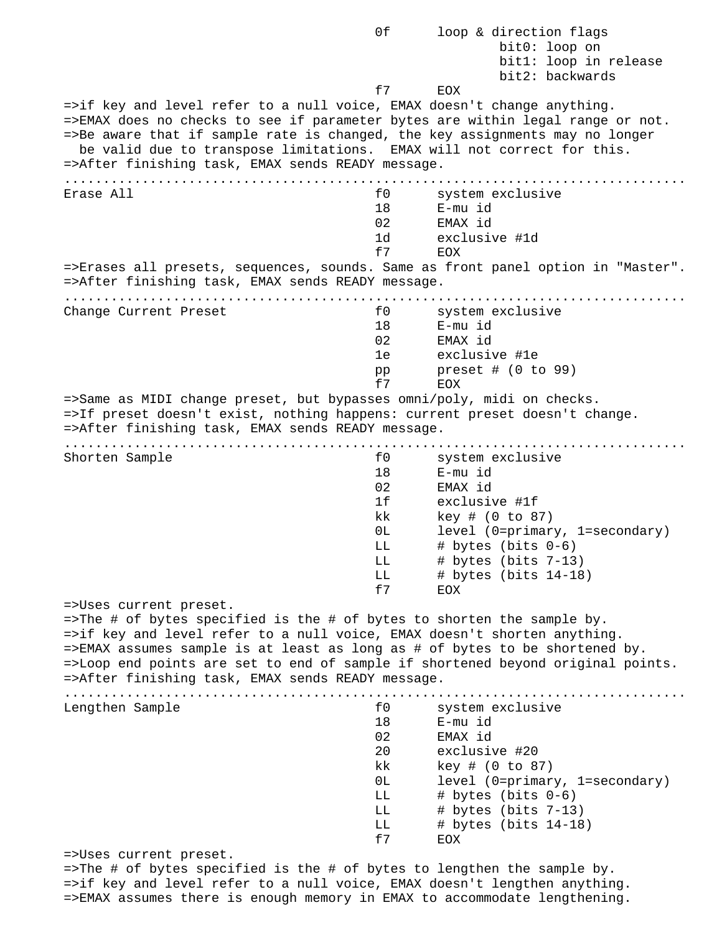0f loop & direction flags bit0: loop on bit1: loop in release bit2: backwards f7 EOX =>if key and level refer to a null voice, EMAX doesn't change anything. =>EMAX does no checks to see if parameter bytes are within legal range or not. =>Be aware that if sample rate is changed, the key assignments may no longer be valid due to transpose limitations. EMAX will not correct for this. =>After finishing task, EMAX sends READY message. ................................................................................ Erase All **Example 20** and the system exclusive 18 E-mu id 02 EMAX id 1d exclusive #1d f7 EOX =>Erases all presets, sequences, sounds. Same as front panel option in "Master". =>After finishing task, EMAX sends READY message. ................................................................................ Change Current Preset and South Change Current Preset and South System exclusive 18 E-mu id 02 EMAX id 1e exclusive #1e pp preset # (0 to 99) f7 EOX =>Same as MIDI change preset, but bypasses omni/poly, midi on checks. =>If preset doesn't exist, nothing happens: current preset doesn't change. =>After finishing task, EMAX sends READY message. ................................................................................ Shorten Sample **and Shorten Sample** for system exclusive 18 E-mu id 02 EMAX id 1f exclusive #1f kk key # (0 to 87) 0L level (0=primary, 1=secondary) LL  $\#$  bytes (bits  $0-6$ ) LL # bytes (bits 7-13) LL # bytes (bits 14-18) f7 EOX =>Uses current preset. =>The # of bytes specified is the # of bytes to shorten the sample by. =>if key and level refer to a null voice, EMAX doesn't shorten anything. =>EMAX assumes sample is at least as long as # of bytes to be shortened by. =>Loop end points are set to end of sample if shortened beyond original points. =>After finishing task, EMAX sends READY message. ................................................................................ Lengthen Sample **and Series and Series Contracts** for system exclusive 18 E-mu id 02 EMAX id 20 exclusive #20 kk key # (0 to 87) 0L level (0=primary, 1=secondary) LL  $\#$  bytes (bits  $0-6$ ) LL # bytes (bits 7-13) LL # bytes (bits 14-18) f7 EOX =>Uses current preset. =>The # of bytes specified is the # of bytes to lengthen the sample by. =>if key and level refer to a null voice, EMAX doesn't lengthen anything.

=>EMAX assumes there is enough memory in EMAX to accommodate lengthening.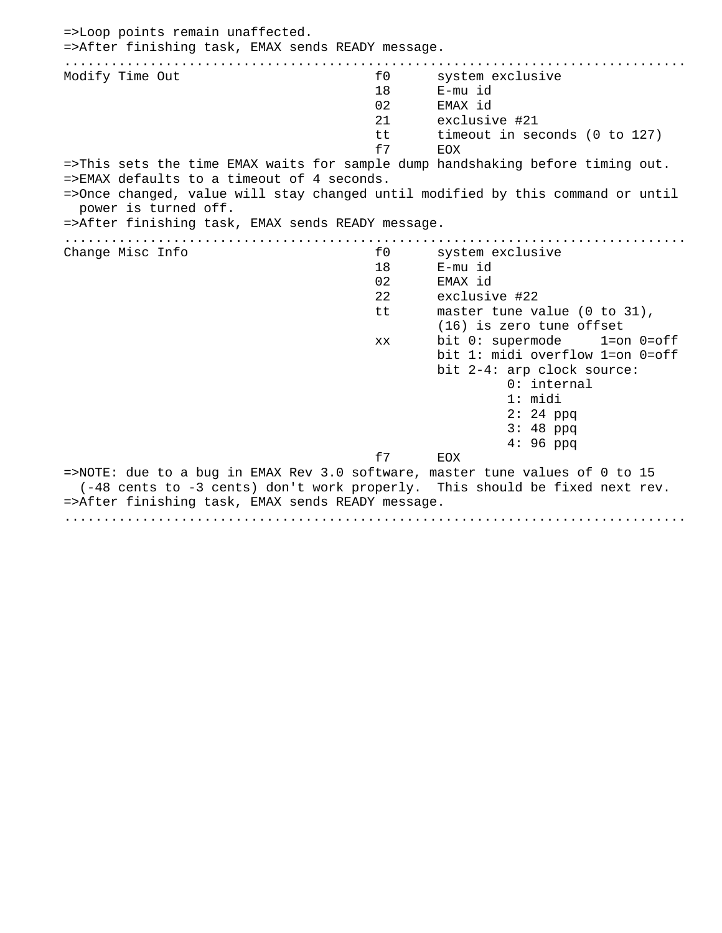=>Loop points remain unaffected. =>After finishing task, EMAX sends READY message. ................................................................................ Modify Time Out **the system exclusive** for the system exclusive 18 E-mu id 02 EMAX id 21 exclusive #21 tt timeout in seconds (0 to 127) f7 EOX =>This sets the time EMAX waits for sample dump handshaking before timing out. =>EMAX defaults to a timeout of 4 seconds. =>Once changed, value will stay changed until modified by this command or until power is turned off. =>After finishing task, EMAX sends READY message. ................................................................................ Change Misc Info  $f0$  system exclusive 18 E-mu id 02 EMAX id 22 exclusive #22 tt master tune value (0 to 31), (16) is zero tune offset xx bit 0: supermode 1=on 0=off bit 1: midi overflow 1=on 0=off bit 2-4: arp clock source: 0: internal 1: midi 2: 24 ppq 3: 48 ppq 4: 96 ppq f7 EOX =>NOTE: due to a bug in EMAX Rev 3.0 software, master tune values of 0 to 15 (-48 cents to -3 cents) don't work properly. This should be fixed next rev. =>After finishing task, EMAX sends READY message. ................................................................................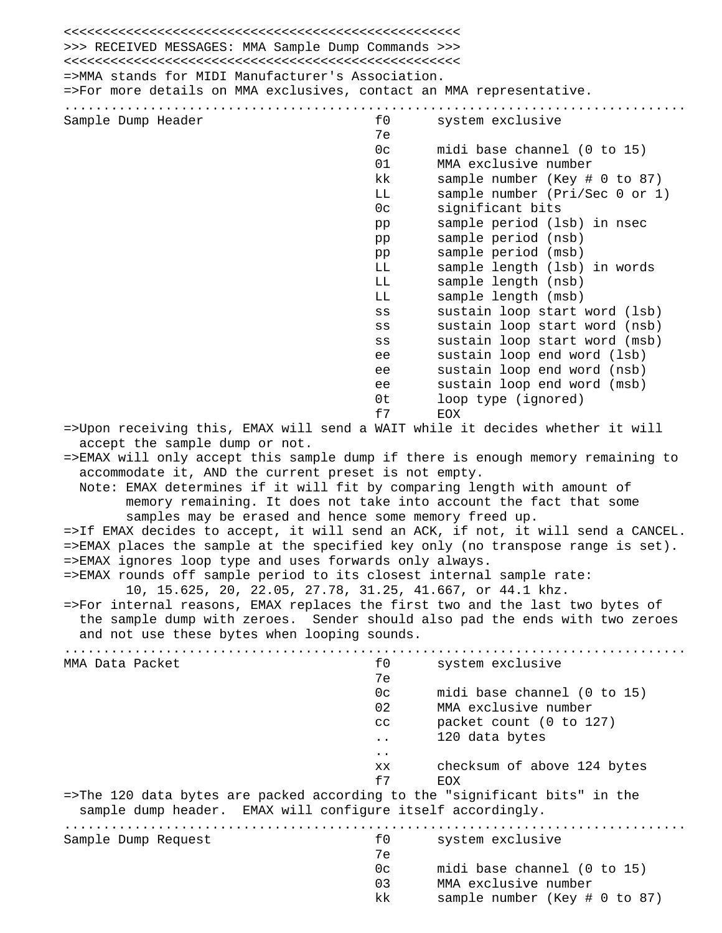<<<<<<<<<<<<<<<<<<<<<<<<<<<<<<<<<<<<<<<<<<<<<<<<<<< >>> RECEIVED MESSAGES: MMA Sample Dump Commands >>> <<<<<<<<<<<<<<<<<<<<<<<<<<<<<<<<<<<<<<<<<<<<<<<<<<< =>MMA stands for MIDI Manufacturer's Association. =>For more details on MMA exclusives, contact an MMA representative. ................................................................................ Sample Dump Header **for the system exclusive** for the system exclusive 7e 0c midi base channel (0 to 15) 01 MMA exclusive number kk sample number (Key # 0 to 87) LL sample number (Pri/Sec 0 or 1) 0c significant bits pp sample period (lsb) in nsec pp sample period (nsb) pp sample period (msb) LL sample length (lsb) in words LL sample length (nsb) LL sample length (msb) ss sustain loop start word (lsb) ss sustain loop start word (nsb) ss sustain loop start word (msb) ee sustain loop end word (lsb) ee sustain loop end word (nsb) ee sustain loop end word (msb) 0t loop type (ignored) f7 EOX =>Upon receiving this, EMAX will send a WAIT while it decides whether it will accept the sample dump or not. =>EMAX will only accept this sample dump if there is enough memory remaining to accommodate it, AND the current preset is not empty. Note: EMAX determines if it will fit by comparing length with amount of memory remaining. It does not take into account the fact that some samples may be erased and hence some memory freed up. =>If EMAX decides to accept, it will send an ACK, if not, it will send a CANCEL. =>EMAX places the sample at the specified key only (no transpose range is set). =>EMAX ignores loop type and uses forwards only always. =>EMAX rounds off sample period to its closest internal sample rate: 10, 15.625, 20, 22.05, 27.78, 31.25, 41.667, or 44.1 khz. =>For internal reasons, EMAX replaces the first two and the last two bytes of the sample dump with zeroes. Sender should also pad the ends with two zeroes and not use these bytes when looping sounds. ................................................................................ MMA Data Packet **the exclusive** for the system exclusive 7e 0c midi base channel (0 to 15) 02 MMA exclusive number cc packet count (0 to 127) .. 120 data bytes .. xx checksum of above 124 bytes f7 EOX =>The 120 data bytes are packed according to the "significant bits" in the sample dump header. EMAX will configure itself accordingly. ................................................................................ Sample Dump Request  $f0$  system exclusive 7e 0c midi base channel (0 to 15) 03 MMA exclusive number kk sample number (Key # 0 to 87)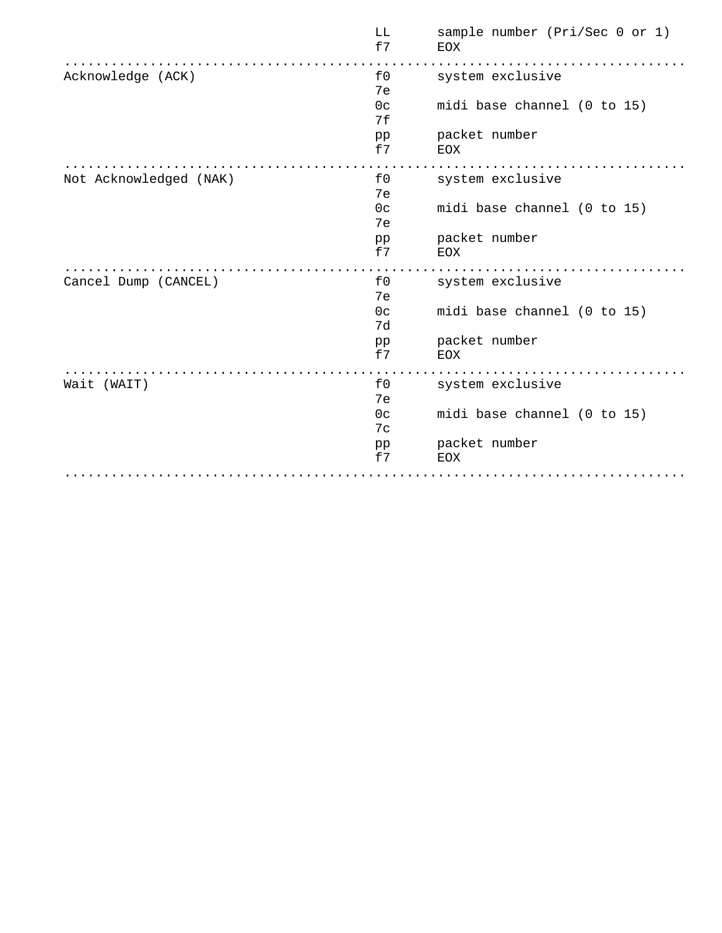|                        | LL<br>f7             | sample number (Pri/Sec 0 or 1)<br>EOX |
|------------------------|----------------------|---------------------------------------|
| Acknowledge (ACK)      | f0<br>7e             | system exclusive                      |
|                        | 0 <sup>c</sup><br>7f | midi base channel (0 to 15)           |
|                        | pp<br>f7             | packet number<br>EOX                  |
| Not Acknowledged (NAK) | f0<br>7e             | system exclusive                      |
|                        | 0 <sub>c</sub><br>7e | midi base channel (0 to 15)           |
|                        | pp<br>f7             | packet number<br><b>EOX</b>           |
| Cancel Dump (CANCEL)   | £0<br>7e             | system exclusive                      |
|                        | 0 <sub>c</sub><br>7d | midi base channel (0 to 15)           |
|                        | pp<br>f7             | packet number<br>EOX                  |
| Wait (WAIT)            | £0<br>7e             | system exclusive                      |
|                        | 0 <sup>c</sup><br>7c | midi base channel (0 to 15)           |
|                        | pp<br>f7             | packet number<br><b>EOX</b>           |
|                        |                      |                                       |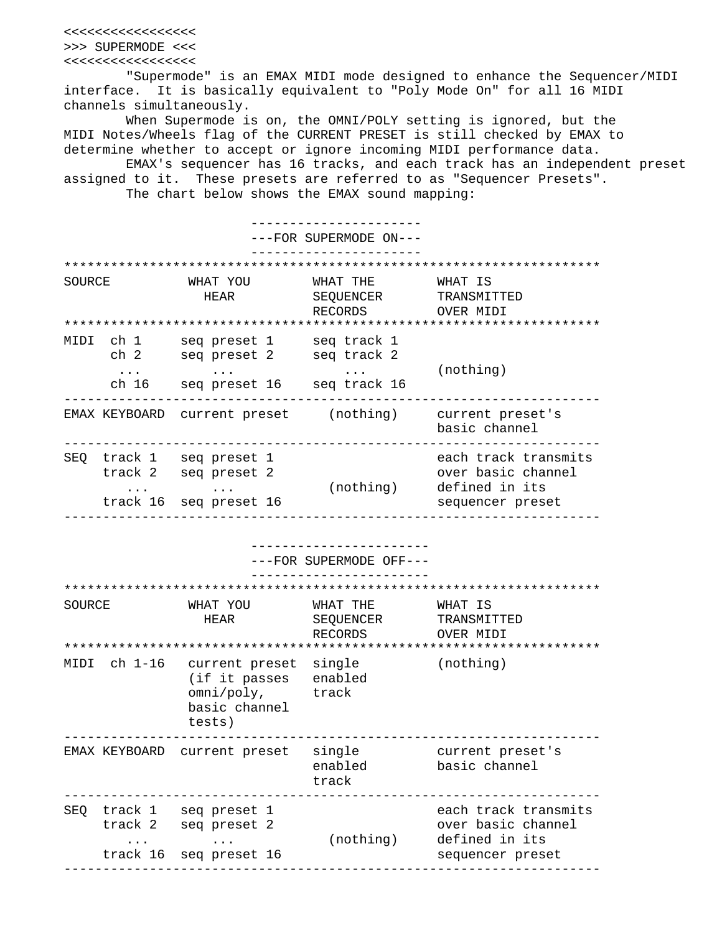<<<<<<<<<<<<<<<<< >>> SUPERMODE <<< <<<<<<<<<<<<<<<<<

 "Supermode" is an EMAX MIDI mode designed to enhance the Sequencer/MIDI interface. It is basically equivalent to "Poly Mode On" for all 16 MIDI channels simultaneously.

 When Supermode is on, the OMNI/POLY setting is ignored, but the MIDI Notes/Wheels flag of the CURRENT PRESET is still checked by EMAX to determine whether to accept or ignore incoming MIDI performance data.

 EMAX's sequencer has 16 tracks, and each track has an independent preset assigned to it. These presets are referred to as "Sequencer Presets".

The chart below shows the EMAX sound mapping:

 ---------------------- ---FOR SUPERMODE ON--- ---------------------- \*\*\*\*\*\*\*\*\*\*\*\*\*\*\*\*\*\*\*\*\*\*\*\*\*\*\*\*\*\*\*\*\*\*\*\*\*\*\*\*\*\*\*\*\*\*\*\*\*\*\*\*\*\*\*\*\*\*\*\*\*\*\*\*\*\*\*\*\* SOURCE WHAT YOU WHAT THE WHAT IS HEAR SEQUENCER TRANSMITTED RECORDS OVER MIDI \*\*\*\*\*\*\*\*\*\*\*\*\*\*\*\*\*\*\*\*\*\*\*\*\*\*\*\*\*\*\*\*\*\*\*\*\*\*\*\*\*\*\*\*\*\*\*\*\*\*\*\*\*\*\*\*\*\*\*\*\*\*\*\*\*\*\*\*\* MIDI ch 1 seq preset 1 seq track 1 ch 2 seq preset 2 seq track 2  $\dots$  ... ... ... (nothing) ch 16 seq preset 16 seq track 16 --------------------------------------------------------------------- EMAX KEYBOARD current preset (nothing) current preset's basic channel --------------------------------------------------------------------- SEQ track 1 seq preset 1 each track transmits track 2 seq preset 2 over basic channel ... ... ... (nothing) defined in its track 16 seq preset 16 sequencer preset --------------------------------------------------------------------- ----------------------- ---FOR SUPERMODE OFF--- ----------------------- \*\*\*\*\*\*\*\*\*\*\*\*\*\*\*\*\*\*\*\*\*\*\*\*\*\*\*\*\*\*\*\*\*\*\*\*\*\*\*\*\*\*\*\*\*\*\*\*\*\*\*\*\*\*\*\*\*\*\*\*\*\*\*\*\*\*\*\*\* SOURCE WHAT YOU WHAT THE WHAT IS HEAR SEQUENCER TRANSMITTED RECORDS OVER MIDI \*\*\*\*\*\*\*\*\*\*\*\*\*\*\*\*\*\*\*\*\*\*\*\*\*\*\*\*\*\*\*\*\*\*\*\*\*\*\*\*\*\*\*\*\*\*\*\*\*\*\*\*\*\*\*\*\*\*\*\*\*\*\*\*\*\*\*\*\* MIDI ch 1-16 current preset single (nothing) (if it passes enabled omni/poly, track basic channel tests) --------------------------------------------------------------------- EMAX KEYBOARD current preset single current preset's enabled basic channel track --------------------------------------------------------------------- SEQ track 1 seq preset 1 each track transmits track 2 seq preset 2 over basic channel ... ... ... (nothing) defined in its track 16 seq preset 16 sequencer preset ---------------------------------------------------------------------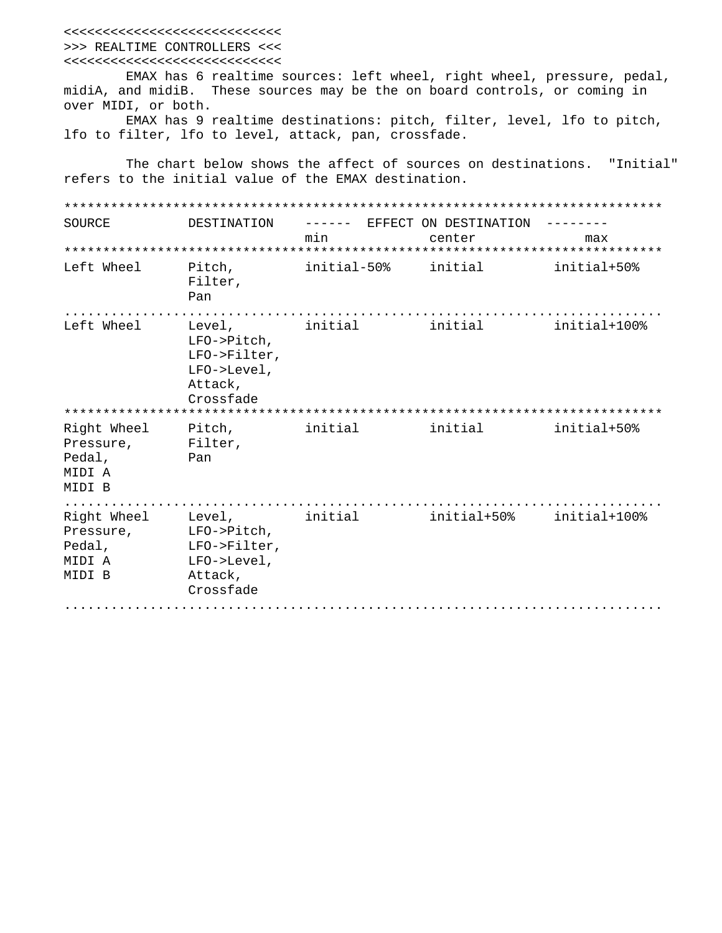<<<<<<<<<<<<<<<<<<<<<<<<<<<< >>> REALTIME CONTROLLERS <<< <<<<<<<<<<<<<<<<<<<<<<<<<<<<

 EMAX has 6 realtime sources: left wheel, right wheel, pressure, pedal, midiA, and midiB. These sources may be the on board controls, or coming in over MIDI, or both.

 EMAX has 9 realtime destinations: pitch, filter, level, lfo to pitch, lfo to filter, lfo to level, attack, pan, crossfade.

 The chart below shows the affect of sources on destinations. "Initial" refers to the initial value of the EMAX destination.

| SOURCE                                                 | DESTINATION                                                                  | -------<br>min | EFFECT ON DESTINATION<br>center | max          |
|--------------------------------------------------------|------------------------------------------------------------------------------|----------------|---------------------------------|--------------|
|                                                        |                                                                              |                |                                 |              |
| Left Wheel                                             | Pitch,<br>Filter,<br>Pan                                                     | initial-50%    | initial                         | initial+50%  |
| Left Wheel                                             | Level,<br>LFO->Pitch,<br>LFO->Filter,<br>LFO->Level,<br>Attack,<br>Crossfade | initial        | initial                         | initial+100% |
|                                                        |                                                                              |                |                                 |              |
| Right Wheel<br>Pressure,<br>Pedal,<br>MIDI A<br>MIDI B | Pitch,<br>Filter,<br>Pan                                                     | initial        | initial                         | initial+50%  |
| Right Wheel<br>Pressure,<br>Pedal,<br>MIDI A<br>MIDI B | Level,<br>LFO->Pitch,<br>LFO->Filter,<br>LFO->Level,<br>Attack,<br>Crossfade | initial        | initial+50%                     | initial+100% |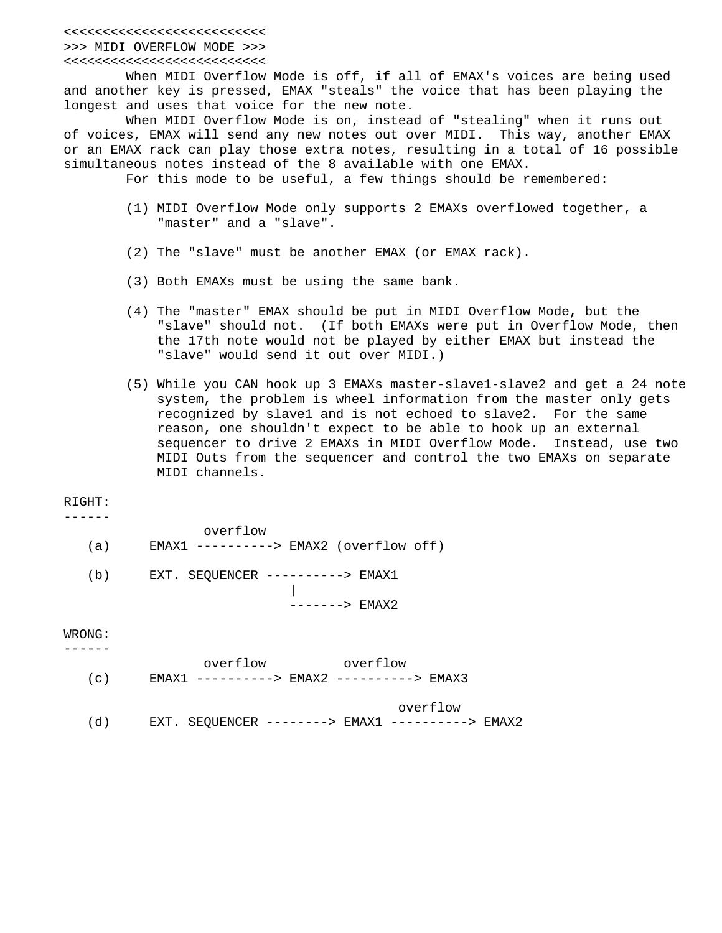## <<<<<<<<<<<<<<<<<<<<<<<<<< >>> MIDI OVERFLOW MODE >>>

## <<<<<<<<<<<<<<<<<<<<<<<<<<

 When MIDI Overflow Mode is off, if all of EMAX's voices are being used and another key is pressed, EMAX "steals" the voice that has been playing the longest and uses that voice for the new note.

 When MIDI Overflow Mode is on, instead of "stealing" when it runs out of voices, EMAX will send any new notes out over MIDI. This way, another EMAX or an EMAX rack can play those extra notes, resulting in a total of 16 possible simultaneous notes instead of the 8 available with one EMAX.

For this mode to be useful, a few things should be remembered:

- (1) MIDI Overflow Mode only supports 2 EMAXs overflowed together, a "master" and a "slave".
- (2) The "slave" must be another EMAX (or EMAX rack).
- (3) Both EMAXs must be using the same bank.
- (4) The "master" EMAX should be put in MIDI Overflow Mode, but the "slave" should not. (If both EMAXs were put in Overflow Mode, then the 17th note would not be played by either EMAX but instead the "slave" would send it out over MIDI.)
- (5) While you CAN hook up 3 EMAXs master-slave1-slave2 and get a 24 note system, the problem is wheel information from the master only gets recognized by slave1 and is not echoed to slave2. For the same reason, one shouldn't expect to be able to hook up an external sequencer to drive 2 EMAXs in MIDI Overflow Mode. Instead, use two MIDI Outs from the sequencer and control the two EMAXs on separate MIDI channels.

## RIGHT:

| – | _ | – | - |  |
|---|---|---|---|--|
|   |   |   |   |  |

|     | overflow                                  |
|-----|-------------------------------------------|
| (a) | $EMAX1$ ---------> $EMAX2$ (overflow off) |
| (b) | EXT. SEOUENCER ----------> EMAX1          |

-------> EMAX2

WRONG: ------

|  | overflow | overflow |  |
|--|----------|----------|--|
|  |          |          |  |

overflow

(d) EXT. SEQUENCER --------> EMAX1 ----------> EMAX2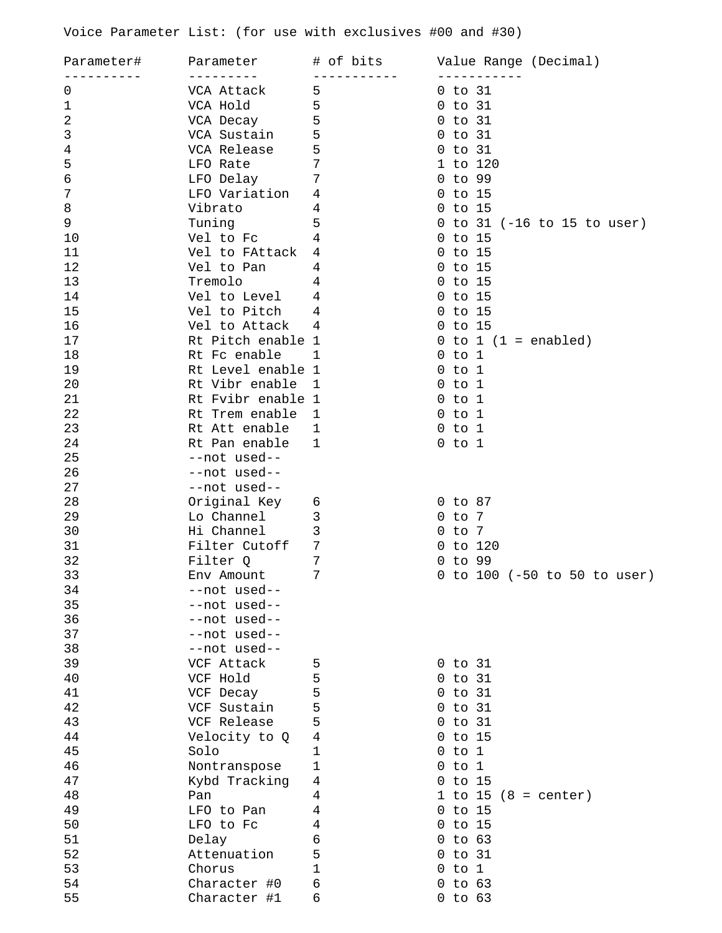Voice Parameter List: (for use with exclusives #00 and #30)

| Parameter#     | Parameter         | # of bits      | Value Range (Decimal)           |
|----------------|-------------------|----------------|---------------------------------|
| 0              | VCA Attack        | 5              | $0$ to $31$                     |
| $\mathbf{1}$   | VCA Hold          | 5              | to 31<br>0                      |
| $\overline{2}$ | VCA Decay         | 5              | to 31<br>0                      |
| $\mathbf{3}$   | VCA Sustain       | 5              | to 31<br>$\Omega$               |
| 4              | VCA Release       | 5              | to 31<br>0                      |
| 5              | LFO Rate          | 7              | 1 to 120                        |
| 6              | LFO Delay         | 7              | to 99<br>$\Omega$               |
| 7              | LFO Variation     | 4              | to 15<br>$\overline{0}$         |
| 8              | Vibrato           | 4              | $0$ to $15$                     |
| 9              | Tuning            | 5              | 0 to 31 $(-16$ to 15 to user)   |
| 10             | Vel to Fc         | $\overline{4}$ | $0$ to $15$                     |
| 11             | Vel to FAttack    | 4              | $0$ to $15$                     |
| 12             | Vel to Pan        | 4              | to 15<br>$\overline{0}$         |
| 13             | Tremolo           | 4              | to 15<br>U                      |
| 14             | Vel to Level      | 4              | to 15<br>$\Omega$               |
| 15             | Vel to Pitch      | 4              | to 15<br>0                      |
| 16             | Vel to Attack     | 4              | $0$ to $15$                     |
| 17             | Rt Pitch enable 1 |                | $0$ to $1$ $(1$ = enabled)      |
| 18             | Rt Fc enable      | 1              | $0$ to $1$                      |
| 19             | Rt Level enable 1 |                | to 1<br>$\overline{0}$          |
| 20             | Rt Vibr enable    | 1              | to 1<br>$\overline{0}$          |
| 21             | Rt Fvibr enable 1 |                | $0$ to $1$                      |
| 22             | Rt Trem enable    | $\mathbf{1}$   | $0$ to $1$                      |
| 23             | Rt Att enable     | $\mathbf 1$    | $0$ to $1$                      |
| 24             | Rt Pan enable     | $\mathbf 1$    | $0$ to $1$                      |
| 25             | --not used--      |                |                                 |
| 26             | --not used--      |                |                                 |
| 27             | --not used--      |                |                                 |
| 28             | Original Key      | 6              | $0$ to $87$                     |
| 29             | Lo Channel        | 3              | to 7<br>$\cup$                  |
| 30             | Hi Channel        | 3              | to 7<br>0                       |
| 31             | Filter Cutoff     | 7              | to 120<br>$\Omega$              |
| 32             | Filter O          | 7              | to 99<br>U                      |
| 33             | Env Amount        | 7              | to 100 (-50 to 50 to user)<br>0 |
| 34             | --not used--      |                |                                 |
| 35             | --not used--      |                |                                 |
| 36             | --not used--      |                |                                 |
| 37             | --not used--      |                |                                 |
| 38             | --not used--      |                |                                 |
| 39             | VCF Attack        | 5              | $0$ to $31$                     |
| 40             | VCF Hold          | 5              | $0$ to $31$                     |
| 41             | VCF Decay         | 5              | $0$ to $31$                     |
| 42             | VCF Sustain       | 5              | $0$ to $31$                     |
| 43             | VCF Release       | 5              | $0$ to $31$                     |
| 44             | Velocity to Q     | 4              | $0$ to $15$                     |
| 45             | Solo              | 1              | $0$ to $1$                      |
| 46             | Nontranspose      | 1              | $0$ to $1$                      |
| 47             | Kybd Tracking     | 4              | $0$ to $15$                     |
| 48             | Pan               | 4              | 1 to 15 $(8 = center)$          |
| 49             | LFO to Pan        | 4              | $0$ to $15$                     |
| 50             | LFO to Fc         | 4              | $0$ to $15$                     |
| 51             | Delay             | б              | $0$ to $63$                     |
| 52             | Attenuation       | 5              | to 31<br>0                      |
| 53             | Chorus            | 1              | to 1<br>0                       |
| 54             | Character #0      | 6              | to 63<br>0                      |
| 55             | Character #1      | 6              | $0$ to $63$                     |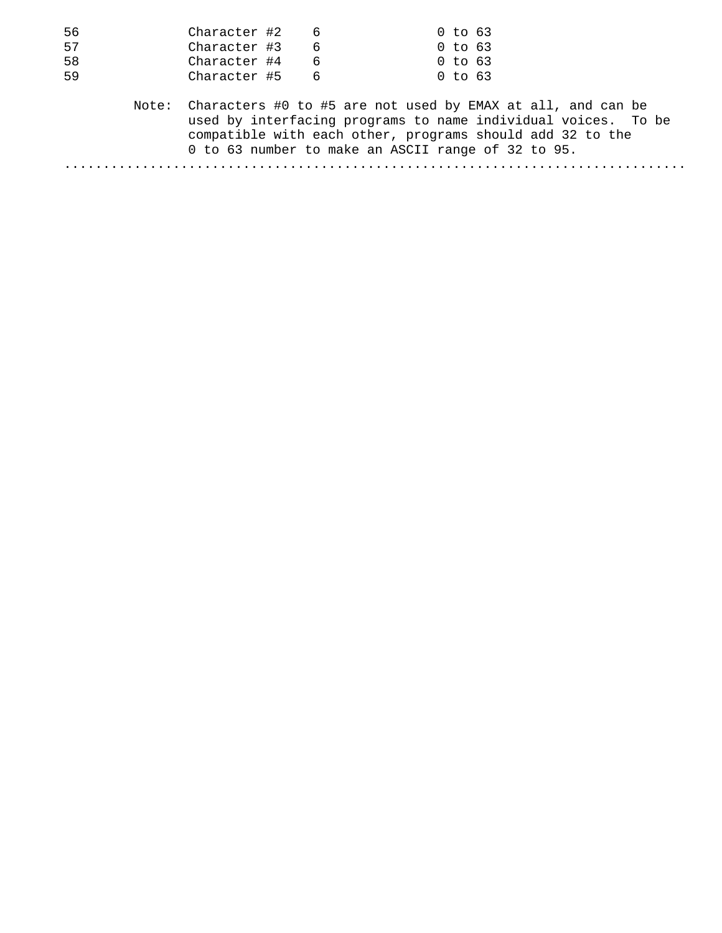| 56 | Character #2                                                                                                                                                                                                                                          | 6 | 0 to 63     |  |  |
|----|-------------------------------------------------------------------------------------------------------------------------------------------------------------------------------------------------------------------------------------------------------|---|-------------|--|--|
| 57 | Character #3                                                                                                                                                                                                                                          | 6 | $0$ to 63   |  |  |
| 58 | Character #4                                                                                                                                                                                                                                          | 6 | $0$ to $63$ |  |  |
| 59 | Character #5                                                                                                                                                                                                                                          | 6 | $0$ to $63$ |  |  |
|    | Note: Characters #0 to #5 are not used by EMAX at all, and can be<br>used by interfacing programs to name individual voices. To be<br>compatible with each other, programs should add 32 to the<br>0 to 63 number to make an ASCII range of 32 to 95. |   |             |  |  |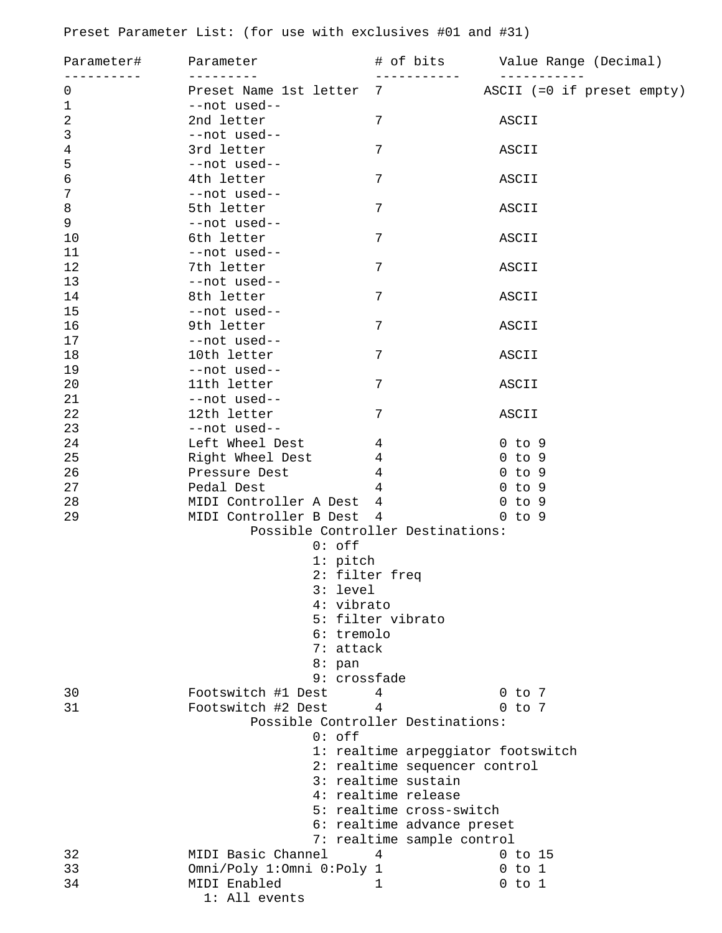Preset Parameter List: (for use with exclusives #01 and #31)

| Parameter#     | Parameter                 | # of bits                          | Value Range (Decimal)<br>- - - - - - - - - - - |
|----------------|---------------------------|------------------------------------|------------------------------------------------|
| $\mathbf 0$    | Preset Name 1st letter 7  |                                    | ASCII (=0 if preset empty)                     |
| $1\,$          | --not used--              |                                    |                                                |
| $\overline{2}$ | 2nd letter                | 7                                  | ASCII                                          |
| 3              | --not used--              |                                    |                                                |
| 4              | 3rd letter                | 7                                  | ASCII                                          |
| 5              | --not used--              |                                    |                                                |
| $\epsilon$     | 4th letter                | 7                                  | ASCII                                          |
| $\overline{7}$ | --not used--              |                                    |                                                |
| 8              | 5th letter                | 7                                  | ASCII                                          |
| $\mathsf 9$    | --not used--              |                                    |                                                |
| 10             | 6th letter                | 7                                  | ASCII                                          |
| 11             | --not used--              |                                    |                                                |
| 12             | 7th letter                | 7                                  | ASCII                                          |
| 13             | --not used--              |                                    |                                                |
| 14             | 8th letter                | 7                                  | ASCII                                          |
| 15             | --not used--              |                                    |                                                |
| 16             | 9th letter                | 7                                  | ASCII                                          |
| 17             | --not used--              |                                    |                                                |
| 18             | 10th letter               | 7                                  | ASCII                                          |
| 19             | --not used--              |                                    |                                                |
| 20             | 11th letter               | 7                                  | ASCII                                          |
| 21             | --not used--              |                                    |                                                |
| 22             | 12th letter               | 7                                  | ASCII                                          |
| 23             | --not used--              |                                    |                                                |
| 24             | Left Wheel Dest           | 4                                  | $0$ to $9$                                     |
| 25             | Right Wheel Dest          | 4                                  | $0$ to $9$                                     |
| 26             | Pressure Dest             | 4                                  | $0$ to $9$                                     |
| 27             | Pedal Dest                | 4                                  | $0$ to $9$                                     |
| 28             | MIDI Controller A Dest    | 4                                  | $0$ to $9$                                     |
| 29             | MIDI Controller B Dest    | 4                                  | $0$ to $9$                                     |
|                |                           | Possible Controller Destinations:  |                                                |
|                | $0:$ off                  |                                    |                                                |
|                | $1:$ pitch                |                                    |                                                |
|                |                           | 2: filter freq                     |                                                |
|                | 3: level                  |                                    |                                                |
|                | 4: vibrato                |                                    |                                                |
|                |                           | 5: filter vibrato                  |                                                |
|                | 6: tremolo                |                                    |                                                |
|                | 7: attack                 |                                    |                                                |
|                | $8:$ pan                  |                                    |                                                |
|                |                           | 9: crossfade                       |                                                |
| 30             | Footswitch #1 Dest        | 4                                  | $0$ to $7$                                     |
| 31             | Footswitch #2 Dest        | 4                                  | $0$ to $7$                                     |
|                |                           | Possible Controller Destinations:  |                                                |
|                | $0:$ off                  |                                    |                                                |
|                |                           | 1: realtime arpeggiator footswitch |                                                |
|                |                           | 2: realtime sequencer control      |                                                |
|                |                           | 3: realtime sustain                |                                                |
|                |                           | 4: realtime release                |                                                |
|                |                           | 5: realtime cross-switch           |                                                |
|                |                           | 6: realtime advance preset         |                                                |
|                |                           | 7: realtime sample control         |                                                |
| 32             | MIDI Basic Channel        | 4                                  | $0$ to 15                                      |
| 33             | Omni/Poly 1:Omni 0:Poly 1 |                                    | $0$ to $1$                                     |
| 34             | MIDI Enabled              | 1                                  | $0$ to $1$                                     |
|                | 1: All events             |                                    |                                                |